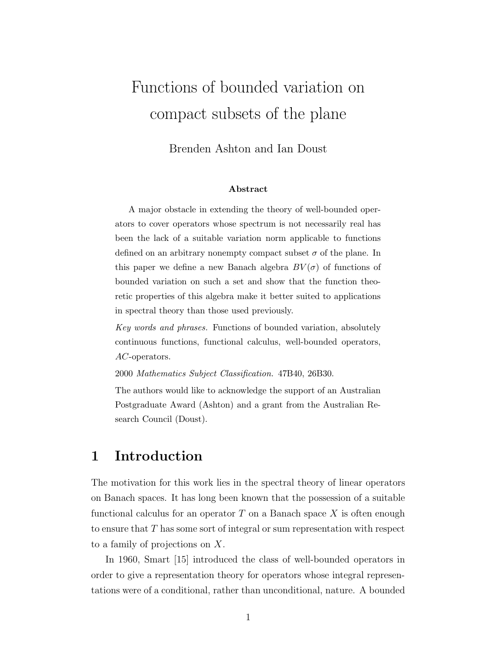# Functions of bounded variation on compact subsets of the plane

Brenden Ashton and Ian Doust

#### Abstract

A major obstacle in extending the theory of well-bounded operators to cover operators whose spectrum is not necessarily real has been the lack of a suitable variation norm applicable to functions defined on an arbitrary nonempty compact subset  $\sigma$  of the plane. In this paper we define a new Banach algebra  $BV(\sigma)$  of functions of bounded variation on such a set and show that the function theoretic properties of this algebra make it better suited to applications in spectral theory than those used previously.

Key words and phrases. Functions of bounded variation, absolutely continuous functions, functional calculus, well-bounded operators, AC-operators.

2000 Mathematics Subject Classification. 47B40, 26B30.

The authors would like to acknowledge the support of an Australian Postgraduate Award (Ashton) and a grant from the Australian Research Council (Doust).

# 1 Introduction

The motivation for this work lies in the spectral theory of linear operators on Banach spaces. It has long been known that the possession of a suitable functional calculus for an operator  $T$  on a Banach space  $X$  is often enough to ensure that T has some sort of integral or sum representation with respect to a family of projections on X.

In 1960, Smart [15] introduced the class of well-bounded operators in order to give a representation theory for operators whose integral representations were of a conditional, rather than unconditional, nature. A bounded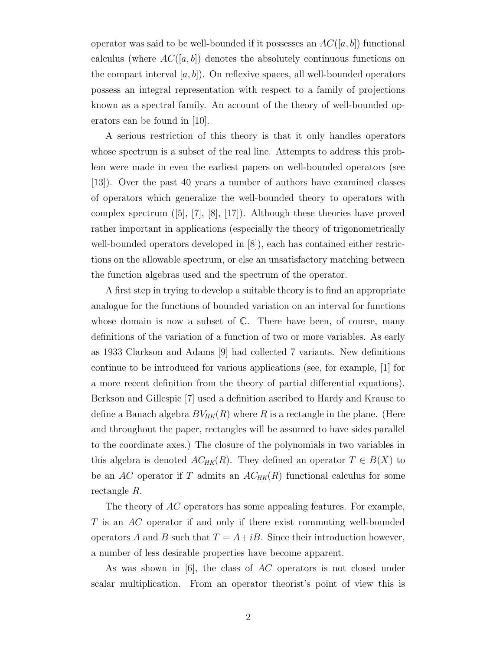operator was said to be well-bounded if it possesses an  $AC([a, b])$  functional calculus (where  $AC([a, b])$  denotes the absolutely continuous functions on the compact interval  $[a, b]$ . On reflexive spaces, all well-bounded operators possess an integral representation with respect to a family of projections known as a spectral family. An account of the theory of well-bounded operators can be found in [10].

A serious restriction of this theory is that it only handles operators whose spectrum is a subset of the real line. Attempts to address this problem were made in even the earliest papers on well-bounded operators (see [13]). Over the past 40 years a number of authors have examined classes of operators which generalize the well-bounded theory to operators with complex spectrum ([5], [7], [8], [17]). Although these theories have proved rather important in applications (especially the theory of trigonometrically well-bounded operators developed in [8]), each has contained either restrictions on the allowable spectrum, or else an unsatisfactory matching between the function algebras used and the spectrum of the operator.

A first step in trying to develop a suitable theory is to find an appropriate analogue for the functions of bounded variation on an interval for functions whose domain is now a subset of  $\mathbb{C}$ . There have been, of course, many definitions of the variation of a function of two or more variables. As early as 1933 Clarkson and Adams [9] had collected 7 variants. New definitions continue to be introduced for various applications (see, for example, [1] for a more recent definition from the theory of partial differential equations). Berkson and Gillespie [7] used a definition ascribed to Hardy and Krause to define a Banach algebra  $BV_{HK}(R)$  where R is a rectangle in the plane. (Here and throughout the paper, rectangles will be assumed to have sides parallel to the coordinate axes.) The closure of the polynomials in two variables in this algebra is denoted  $AC_{HK}(R)$ . They defined an operator  $T \in B(X)$  to be an AC operator if T admits an  $AC_{HK}(R)$  functional calculus for some rectangle R.

The theory of AC operators has some appealing features. For example, T is an AC operator if and only if there exist commuting well-bounded operators A and B such that  $T = A + iB$ . Since their introduction however, a number of less desirable properties have become apparent.

As was shown in [6], the class of AC operators is not closed under scalar multiplication. From an operator theorist's point of view this is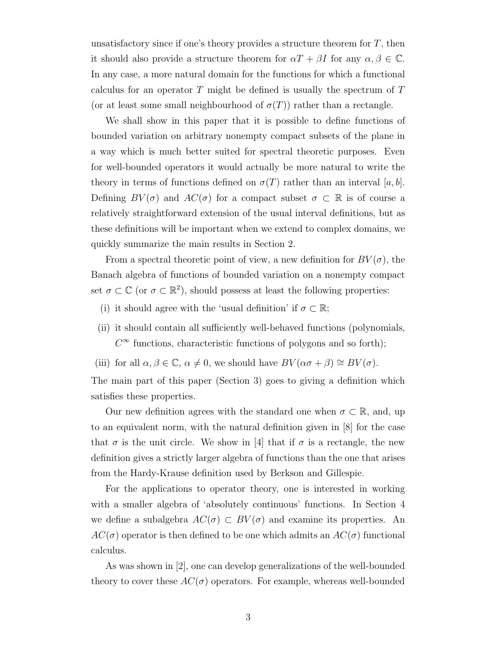unsatisfactory since if one's theory provides a structure theorem for  $T$ , then it should also provide a structure theorem for  $\alpha T + \beta I$  for any  $\alpha, \beta \in \mathbb{C}$ . In any case, a more natural domain for the functions for which a functional calculus for an operator  $T$  might be defined is usually the spectrum of  $T$ (or at least some small neighbourhood of  $\sigma(T)$ ) rather than a rectangle.

We shall show in this paper that it is possible to define functions of bounded variation on arbitrary nonempty compact subsets of the plane in a way which is much better suited for spectral theoretic purposes. Even for well-bounded operators it would actually be more natural to write the theory in terms of functions defined on  $\sigma(T)$  rather than an interval [a, b]. Defining  $BV(\sigma)$  and  $AC(\sigma)$  for a compact subset  $\sigma \subset \mathbb{R}$  is of course a relatively straightforward extension of the usual interval definitions, but as these definitions will be important when we extend to complex domains, we quickly summarize the main results in Section 2.

From a spectral theoretic point of view, a new definition for  $BV(\sigma)$ , the Banach algebra of functions of bounded variation on a nonempty compact set  $\sigma \subset \mathbb{C}$  (or  $\sigma \subset \mathbb{R}^2$ ), should possess at least the following properties:

- (i) it should agree with the 'usual definition' if  $\sigma \subset \mathbb{R};$
- (ii) it should contain all sufficiently well-behaved functions (polynomials,  $C^{\infty}$  functions, characteristic functions of polygons and so forth);
- (iii) for all  $\alpha, \beta \in \mathbb{C}$ ,  $\alpha \neq 0$ , we should have  $BV(\alpha \sigma + \beta) \cong BV(\sigma)$ .

The main part of this paper (Section 3) goes to giving a definition which satisfies these properties.

Our new definition agrees with the standard one when  $\sigma \subset \mathbb{R}$ , and, up to an equivalent norm, with the natural definition given in [8] for the case that  $\sigma$  is the unit circle. We show in [4] that if  $\sigma$  is a rectangle, the new definition gives a strictly larger algebra of functions than the one that arises from the Hardy-Krause definition used by Berkson and Gillespie.

For the applications to operator theory, one is interested in working with a smaller algebra of 'absolutely continuous' functions. In Section 4 we define a subalgebra  $AC(\sigma) \subset BV(\sigma)$  and examine its properties. An  $AC(\sigma)$  operator is then defined to be one which admits an  $AC(\sigma)$  functional calculus.

As was shown in [2], one can develop generalizations of the well-bounded theory to cover these  $AC(\sigma)$  operators. For example, whereas well-bounded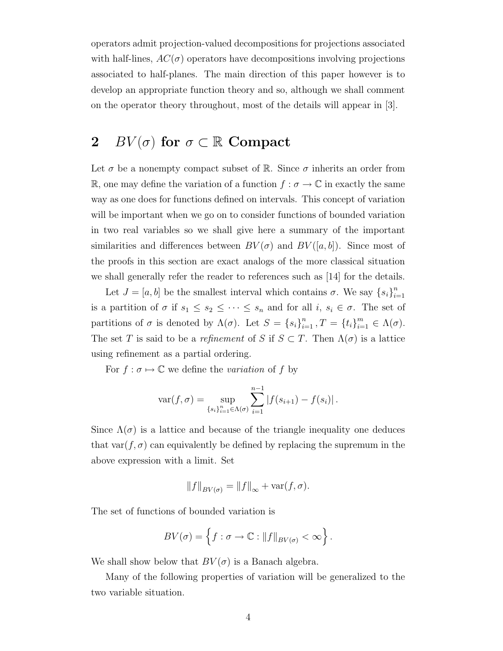operators admit projection-valued decompositions for projections associated with half-lines,  $AC(\sigma)$  operators have decompositions involving projections associated to half-planes. The main direction of this paper however is to develop an appropriate function theory and so, although we shall comment on the operator theory throughout, most of the details will appear in [3].

# 2 BV( $\sigma$ ) for  $\sigma \subset \mathbb{R}$  Compact

Let  $\sigma$  be a nonempty compact subset of  $\mathbb R$ . Since  $\sigma$  inherits an order from R, one may define the variation of a function  $f : \sigma \to \mathbb{C}$  in exactly the same way as one does for functions defined on intervals. This concept of variation will be important when we go on to consider functions of bounded variation in two real variables so we shall give here a summary of the important similarities and differences between  $BV(\sigma)$  and  $BV([a, b])$ . Since most of the proofs in this section are exact analogs of the more classical situation we shall generally refer the reader to references such as [14] for the details.

Let  $J = [a, b]$  be the smallest interval which contains  $\sigma$ . We say  $\{s_i\}_{i=1}^n$  $i=1$ is a partition of  $\sigma$  if  $s_1 \leq s_2 \leq \cdots \leq s_n$  and for all  $i, s_i \in \sigma$ . The set of partitions of  $\sigma$  is denoted by  $\Lambda(\sigma)$ . Let  $S = \{s_i\}_{i=1}^n$ ,  $T = \{t_i\}_{i=1}^m \in \Lambda(\sigma)$ . The set T is said to be a refinement of S if  $S \subset T$ . Then  $\Lambda(\sigma)$  is a lattice using refinement as a partial ordering.

For  $f : \sigma \mapsto \mathbb{C}$  we define the *variation* of f by

$$
var(f, \sigma) = \sup_{\{s_i\}_{i=1}^n \in \Lambda(\sigma)} \sum_{i=1}^{n-1} |f(s_{i+1}) - f(s_i)|.
$$

Since  $\Lambda(\sigma)$  is a lattice and because of the triangle inequality one deduces that var $(f, \sigma)$  can equivalently be defined by replacing the supremum in the above expression with a limit. Set

$$
||f||_{BV(\sigma)} = ||f||_{\infty} + \text{var}(f, \sigma).
$$

The set of functions of bounded variation is

$$
BV(\sigma) = \left\{ f : \sigma \to \mathbb{C} : ||f||_{BV(\sigma)} < \infty \right\}.
$$

We shall show below that  $BV(\sigma)$  is a Banach algebra.

Many of the following properties of variation will be generalized to the two variable situation.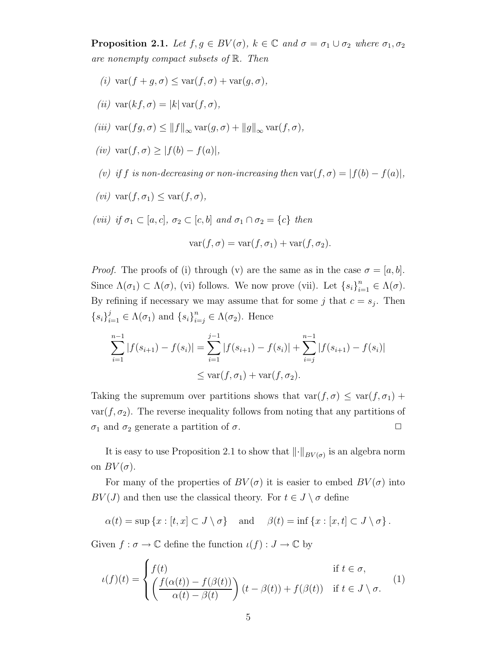**Proposition 2.1.** Let  $f, g \in BV(\sigma)$ ,  $k \in \mathbb{C}$  and  $\sigma = \sigma_1 \cup \sigma_2$  where  $\sigma_1, \sigma_2$ are nonempty compact subsets of R. Then

- (i)  $\text{var}(f+g,\sigma) \leq \text{var}(f,\sigma) + \text{var}(g,\sigma),$
- (ii)  $\text{var}(kf, \sigma) = |k| \text{var}(f, \sigma),$
- (iii)  $\text{var}(fg, \sigma) \leq ||f||_{\infty} \text{var}(g, \sigma) + ||g||_{\infty} \text{var}(f, \sigma),$
- (iv) var $(f, \sigma)$  >  $|f(b) f(a)|$ ,
- (v) if f is non-decreasing or non-increasing then var $(f, \sigma) = |f(b) f(a)|$ ,
- (*vi*)  $\text{var}(f, \sigma_1) \leq \text{var}(f, \sigma)$ ,
- (vii) if  $\sigma_1 \subset [a, c], \sigma_2 \subset [c, b]$  and  $\sigma_1 \cap \sigma_2 = \{c\}$  then

$$
var(f, \sigma) = var(f, \sigma_1) + var(f, \sigma_2).
$$

*Proof.* The proofs of (i) through (v) are the same as in the case  $\sigma = [a, b]$ . Since  $\Lambda(\sigma_1) \subset \Lambda(\sigma)$ , (vi) follows. We now prove (vii). Let  $\{s_i\}_{i=1}^n \in \Lambda(\sigma)$ . By refining if necessary we may assume that for some j that  $c = s_j$ . Then  ${s_i}_{i=1}^j \in \Lambda(\sigma_1)$  and  ${s_i}_{i=j}^n \in \Lambda(\sigma_2)$ . Hence

$$
\sum_{i=1}^{n-1} |f(s_{i+1}) - f(s_i)| = \sum_{i=1}^{j-1} |f(s_{i+1}) - f(s_i)| + \sum_{i=j}^{n-1} |f(s_{i+1}) - f(s_i)|
$$
  

$$
\leq \text{var}(f, \sigma_1) + \text{var}(f, \sigma_2).
$$

Taking the supremum over partitions shows that  $var(f, \sigma) \leq var(f, \sigma_1) +$  $var(f, \sigma_2)$ . The reverse inequality follows from noting that any partitions of  $\sigma_1$  and  $\sigma_2$  generate a partition of  $\sigma$ .

It is easy to use Proposition 2.1 to show that  $\left\|\cdot\right\|_{BV(\sigma)}$  is an algebra norm on  $BV(\sigma)$ .

For many of the properties of  $BV(\sigma)$  it is easier to embed  $BV(\sigma)$  into  $BV(J)$  and then use the classical theory. For  $t \in J \setminus \sigma$  define

$$
\alpha(t) = \sup \left\{ x : [t, x] \subset J \setminus \sigma \right\} \quad \text{and} \quad \beta(t) = \inf \left\{ x : [x, t] \subset J \setminus \sigma \right\}.
$$

Given  $f : \sigma \to \mathbb{C}$  define the function  $\iota(f) : J \to \mathbb{C}$  by

$$
\iota(f)(t) = \begin{cases} f(t) & \text{if } t \in \sigma, \\ \left( \frac{f(\alpha(t)) - f(\beta(t))}{\alpha(t) - \beta(t)} \right) (t - \beta(t)) + f(\beta(t)) & \text{if } t \in J \setminus \sigma. \end{cases}
$$
 (1)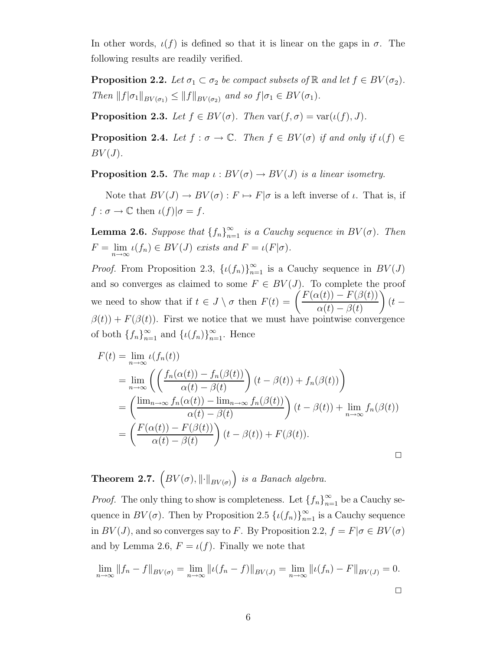In other words,  $\iota(f)$  is defined so that it is linear on the gaps in  $\sigma$ . The following results are readily verified.

**Proposition 2.2.** Let  $\sigma_1 \subset \sigma_2$  be compact subsets of  $\mathbb{R}$  and let  $f \in BV(\sigma_2)$ . Then  $||f|\sigma_1||_{BV(\sigma_1)} \leq ||f||_{BV(\sigma_2)}$  and so  $f|\sigma_1 \in BV(\sigma_1)$ .

**Proposition 2.3.** Let  $f \in BV(\sigma)$ . Then  $\text{var}(f, \sigma) = \text{var}(\iota(f), J)$ .

**Proposition 2.4.** Let  $f : \sigma \to \mathbb{C}$ . Then  $f \in BV(\sigma)$  if and only if  $\iota(f) \in$  $BV(J).$ 

**Proposition 2.5.** The map  $\iota : BV(\sigma) \to BV(J)$  is a linear isometry.

Note that  $BV(J) \to BV(\sigma) : F \mapsto F|\sigma$  is a left inverse of  $\iota$ . That is, if  $f: \sigma \to \mathbb{C}$  then  $\iota(f)|\sigma = f$ .

**Lemma 2.6.** Suppose that  $\{f_n\}_{n=1}^{\infty}$  is a Cauchy sequence in  $BV(\sigma)$ . Then  $F = \lim_{n \to \infty} \iota(f_n) \in BV(J)$  exists and  $F = \iota(F|\sigma)$ .

*Proof.* From Proposition 2.3,  $\{u(f_n)\}_{n=1}^{\infty}$  is a Cauchy sequence in  $BV(J)$ and so converges as claimed to some  $F \in BV(J)$ . To complete the proof we need to show that if  $t \in J \setminus \sigma$  then  $F(t) = \left( \frac{F(\alpha(t)) - F(\beta(t))}{\alpha(t) - \beta(t)} \right)$  $\alpha(t) - \beta(t)$  $\bigg)$  (t –  $\beta(t)$  +  $F(\beta(t))$ . First we notice that we must have pointwise convergence of both  $\{f_n\}_{n=1}^{\infty}$  and  $\{\iota(f_n)\}_{n=1}^{\infty}$ . Hence

$$
F(t) = \lim_{n \to \infty} \iota(f_n(t))
$$
  
= 
$$
\lim_{n \to \infty} \left( \left( \frac{f_n(\alpha(t)) - f_n(\beta(t))}{\alpha(t) - \beta(t)} \right) (t - \beta(t)) + f_n(\beta(t)) \right)
$$
  
= 
$$
\left( \frac{\lim_{n \to \infty} f_n(\alpha(t)) - \lim_{n \to \infty} f_n(\beta(t))}{\alpha(t) - \beta(t)} \right) (t - \beta(t)) + \lim_{n \to \infty} f_n(\beta(t))
$$
  
= 
$$
\left( \frac{F(\alpha(t)) - F(\beta(t))}{\alpha(t) - \beta(t)} \right) (t - \beta(t)) + F(\beta(t)).
$$

**Theorem 2.7.**  $(BV(\sigma), \|\cdot\|_{BV(\sigma)})$  is a Banach algebra.

*Proof.* The only thing to show is completeness. Let  $\{f_n\}_{n=1}^{\infty}$  be a Cauchy sequence in  $BV(\sigma)$ . Then by Proposition 2.5  $\{\iota(f_n)\}_{n=1}^{\infty}$  is a Cauchy sequence in  $BV(J)$ , and so converges say to F. By Proposition 2.2,  $f = F | \sigma \in BV(\sigma)$ and by Lemma 2.6,  $F = \iota(f)$ . Finally we note that

$$
\lim_{n \to \infty} ||f_n - f||_{BV(\sigma)} = \lim_{n \to \infty} ||\iota(f_n - f)||_{BV(J)} = \lim_{n \to \infty} ||\iota(f_n) - F||_{BV(J)} = 0.
$$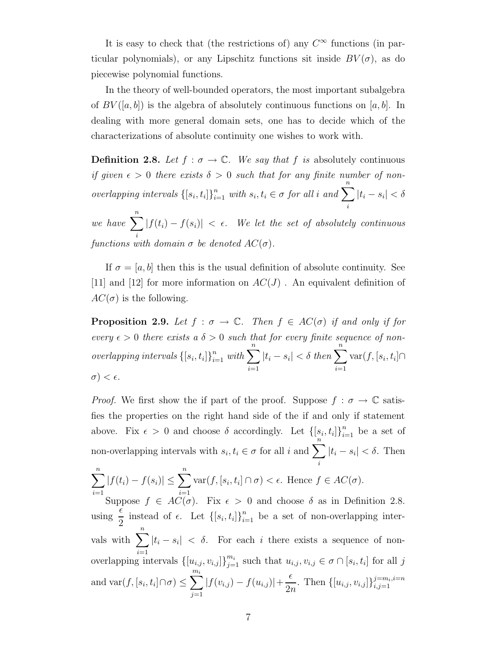It is easy to check that (the restrictions of) any  $C^{\infty}$  functions (in particular polynomials), or any Lipschitz functions sit inside  $BV(\sigma)$ , as do piecewise polynomial functions.

In the theory of well-bounded operators, the most important subalgebra of  $BV([a, b])$  is the algebra of absolutely continuous functions on [a, b]. In dealing with more general domain sets, one has to decide which of the characterizations of absolute continuity one wishes to work with.

**Definition 2.8.** Let  $f : \sigma \to \mathbb{C}$ . We say that f is absolutely continuous if given  $\epsilon > 0$  there exists  $\delta > 0$  such that for any finite number of nonoverlapping intervals  $\{ [s_i, t_i] \}_{i=1}^n$  with  $s_i, t_i \in \sigma$  for all i and  $\sum^n$ i  $|t_i - s_i| < \delta$ 

we have  $\sum_{n=1}^n$ i  $|f(t_i) - f(s_i)| < \epsilon$ . We let the set of absolutely continuous functions with domain  $\sigma$  be denoted  $AC(\sigma)$ .

If  $\sigma = [a, b]$  then this is the usual definition of absolute continuity. See [11] and [12] for more information on  $AC(J)$ . An equivalent definition of  $AC(\sigma)$  is the following.

**Proposition 2.9.** Let  $f : \sigma \to \mathbb{C}$ . Then  $f \in AC(\sigma)$  if and only if for every  $\epsilon > 0$  there exists a  $\delta > 0$  such that for every finite sequence of nonoverlapping intervals  $\{[s_i,t_i]\}_{i=1}^n$  $\sum_{i=1}^n$  with  $\sum_{i=1}^n$  $i=1$  $|t_i - s_i| < \delta \ then \sum_{i=1}^{n}$  $i=1$  $\text{var}(f,[s_i,t_i]) \cap$  $\sigma$ )  $< \epsilon$ .

*Proof.* We first show the if part of the proof. Suppose  $f : \sigma \to \mathbb{C}$  satisfies the properties on the right hand side of the if and only if statement above. Fix  $\epsilon > 0$  and choose  $\delta$  accordingly. Let  $\left\{ [s_i, t_i] \right\}_{i=1}^n$  be a set of non-overlapping intervals with  $s_i, t_i \in \sigma$  for all i and  $\sum_{n=1}^{\infty}$ i  $|t_i - s_i| < \delta$ . Then

$$
\sum_{i=1}^{n} |f(t_i) - f(s_i)| \le \sum_{i=1}^{n} \text{var}(f, [s_i, t_i] \cap \sigma) < \epsilon.
$$
 Hence  $f \in AC(\sigma)$ .  
Suppose  $f \in AC(\sigma)$  Fix  $\epsilon > 0$  and choose  $\delta$  as in Defin

Suppose  $f \in AC(\sigma)$ . Fix  $\epsilon > 0$  and choose  $\delta$  as in Definition 2.8. using  $\epsilon$  $\frac{1}{2}$  instead of  $\epsilon$ . Let  $\{[s_i, t_i]\}_{i=1}^n$  be a set of non-overlapping intervals with  $\sum_{n=1}^{\infty}$  $\frac{i=1}{i}$  $|t_i - s_i| < \delta$ . For each i there exists a sequence of nonoverlapping intervals  $\{[u_{i,j}, v_{i,j}]\}_{j=1}^{m_i}$  such that  $u_{i,j}, v_{i,j} \in \sigma \cap [s_i, t_i]$  for all j and  $\text{var}(f, [s_i, t_i] \cap \sigma) \le \sum^{m_i}$  $j=1$  $|f(v_{i,j}) - f(u_{i,j})| +$  $\epsilon$  $\frac{\epsilon}{2n}$ . Then  $\{[u_{i,j}, v_{i,j}]\}_{i,j=1}^{j=m_i, i=n}$  $i,j=1$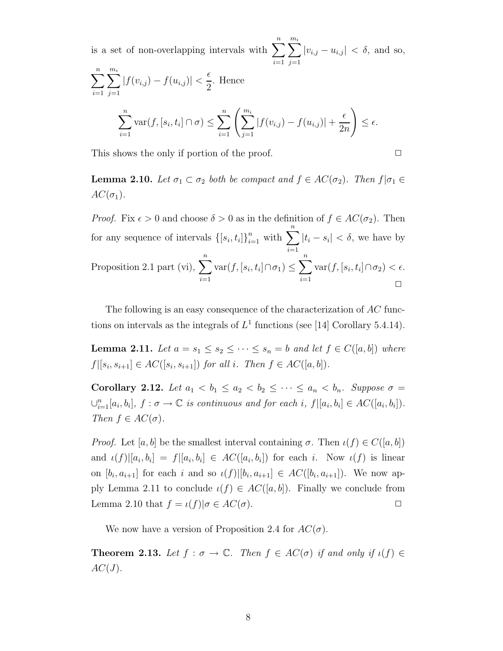is a set of non-overlapping intervals with  $\sum_{n=1}^n$  $i=1$  $\sum_{i=1}^{m_i}$  $j=1$  $|v_{i,j} - u_{i,j}| < \delta$ , and so,  $\sum_{n=1}^{\infty}$  $i=1$  $\sum_{i=1}^{m_i}$  $j=1$  $|f(v_{i,j}) - f(u_{i,j})|$  <  $\epsilon$ 2 . Hence  $\sum_{n=1}^{\infty}$  $\frac{i=1}{i}$  $\text{var}(f, [s_i, t_i] \cap \sigma) \leq \sum_{i=1}^n \left( \sum_{j=1}^{m_i} \right)$  $|f(v_{i,j}) - f(u_{i,j})| +$  $\epsilon$  $2n$  $\setminus$  $\leq \epsilon.$ 

This shows the only if portion of the proof.  $\Box$ 

**Lemma 2.10.** Let  $\sigma_1 \subset \sigma_2$  both be compact and  $f \in AC(\sigma_2)$ . Then  $f | \sigma_1 \in$  $AC(\sigma_1)$ .

*Proof.* Fix  $\epsilon > 0$  and choose  $\delta > 0$  as in the definition of  $f \in AC(\sigma_2)$ . Then for any sequence of intervals  $\{[s_i, t_i]\}_{i=1}^n$  $\sum_{i=1}^n$  with  $\sum_{}^n$  $i=1$  $|t_i - s_i| < \delta$ , we have by Proposition 2.1 part (vi),  $\sum_{n=1}^{n}$  $i=1$  $\text{var}(f,[s_i,t_i]\cap \sigma_1)\leq \sum^{n}$  $i=1$  $\text{var}(f, [s_i, t_i] \cap \sigma_2) < \epsilon.$  $\Box$ 

The following is an easy consequence of the characterization of AC functions on intervals as the integrals of  $L^1$  functions (see [14] Corollary 5.4.14).

**Lemma 2.11.** Let  $a = s_1 \leq s_2 \leq \cdots \leq s_n = b$  and let  $f \in C([a, b])$  where  $f|[s_i, s_{i+1}] \in AC([s_i, s_{i+1}])$  for all i. Then  $f \in AC([a, b])$ .

Corollary 2.12. Let  $a_1 < b_1 \le a_2 < b_2 \le \cdots \le a_n < b_n$ . Suppose  $\sigma =$  $\bigcup_{i=1}^n [a_i, b_i],$   $f : \sigma \to \mathbb{C}$  is continuous and for each i,  $f|[a_i, b_i] \in AC([a_i, b_i]).$ Then  $f \in AC(\sigma)$ .

*Proof.* Let [a, b] be the smallest interval containing  $\sigma$ . Then  $\iota(f) \in C([a, b])$ and  $\iota(f)[a_i, b_i] = f|[a_i, b_i] \in AC([a_i, b_i])$  for each i. Now  $\iota(f)$  is linear on  $[b_i, a_{i+1}]$  for each i and so  $\iota(f)|[b_i, a_{i+1}] \in AC([b_i, a_{i+1}])$ . We now apply Lemma 2.11 to conclude  $\iota(f) \in AC([a, b])$ . Finally we conclude from Lemma 2.10 that  $f = \iota(f)|\sigma \in AC(\sigma)$ .

We now have a version of Proposition 2.4 for  $AC(\sigma)$ .

**Theorem 2.13.** Let  $f : \sigma \to \mathbb{C}$ . Then  $f \in AC(\sigma)$  if and only if  $\iota(f) \in$  $AC(J)$ .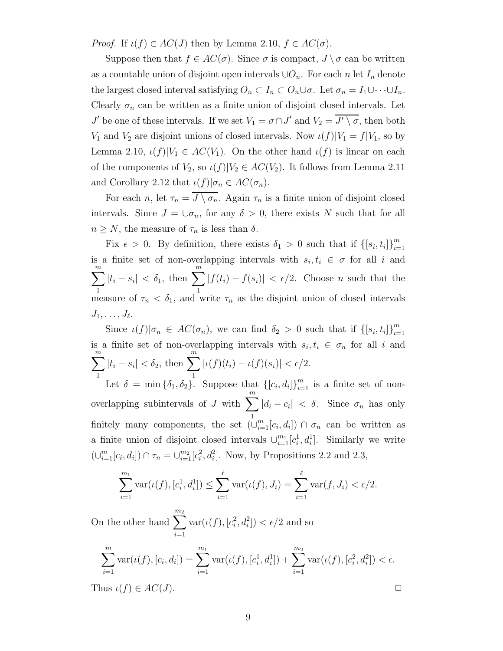*Proof.* If  $\iota(f) \in AC(J)$  then by Lemma 2.10,  $f \in AC(\sigma)$ .

Suppose then that  $f \in AC(\sigma)$ . Since  $\sigma$  is compact,  $J \setminus \sigma$  can be written as a countable union of disjoint open intervals  $\cup O_n$ . For each n let  $I_n$  denote the largest closed interval satisfying  $O_n \subset I_n \subset O_n \cup \sigma$ . Let  $\sigma_n = I_1 \cup \cdots \cup I_n$ . Clearly  $\sigma_n$  can be written as a finite union of disjoint closed intervals. Let  $J'$  be one of these intervals. If we set  $V_1 = \sigma \cap J'$  and  $V_2 = \overline{J' \setminus \sigma}$ , then both  $V_1$  and  $V_2$  are disjoint unions of closed intervals. Now  $\iota(f)|V_1 = f|V_1$ , so by Lemma 2.10,  $\iota(f)|V_1 \in AC(V_1)$ . On the other hand  $\iota(f)$  is linear on each of the components of  $V_2$ , so  $\iota(f)|V_2 \in AC(V_2)$ . It follows from Lemma 2.11 and Corollary 2.12 that  $\iota(f)|\sigma_n \in AC(\sigma_n)$ .

For each n, let  $\tau_n = \overline{J \setminus \sigma_n}$ . Again  $\tau_n$  is a finite union of disjoint closed intervals. Since  $J = \cup_{\sigma_n}$ , for any  $\delta > 0$ , there exists N such that for all  $n \geq N$ , the measure of  $\tau_n$  is less than  $\delta$ .

Fix  $\epsilon > 0$ . By definition, there exists  $\delta_1 > 0$  such that if  $\{[s_i, t_i]\}_{i=1}^m$  $i=1$ is a finite set of non-overlapping intervals with  $s_i, t_i \in \sigma$  for all i and  $\sum_{m}$ 1  $|t_i - s_i| < \delta_1$ , then  $\sum^m$ 1  $|f(t_i) - f(s_i)| < \epsilon/2$ . Choose *n* such that the measure of  $\tau_n < \delta_1$ , and write  $\tau_n$  as the disjoint union of closed intervals  $J_1, \ldots, J_\ell.$ 

Since  $\iota(f)|\sigma_n \in AC(\sigma_n)$ , we can find  $\delta_2 > 0$  such that if  $\{[s_i, t_i]\}_{i=1}^m$  $\frac{i=1}{i}$ is a finite set of non-overlapping intervals with  $s_i, t_i \in \sigma_n$  for all i and  $\sum^m$ 1  $|t_i - s_i| < \delta_2$ , then  $\sum^m$ 1  $|\iota(f)(t_i) - \iota(f)(s_i)| < \epsilon/2.$ 

Let  $\delta = \min\{\delta_1, \delta_2\}$ . Suppose that  $\{[c_i, d_i]\}_{i=1}^m$  is a finite set of nonoverlapping subintervals of J with  $\sum_{n=1}^{m}$ 1  $|d_i - c_i| < \delta$ . Since  $\sigma_n$  has only finitely many components, the set  $(\cup_{i=1}^m[c_i,d_i]) \cap \sigma_n$  can be written as a finite union of disjoint closed intervals  $\cup_{i=1}^{m_1}[c_i^1, d_i^1]$ . Similarly we write  $(\cup_{i=1}^{m}[c_i, d_i]) \cap \tau_n = \cup_{i=1}^{m}[c_i^2, d_i^2]$ . Now, by Propositions 2.2 and 2.3,

$$
\sum_{i=1}^{m_1} \text{var}(\iota(f), [c_i^1, d_i^1]) \le \sum_{i=1}^{\ell} \text{var}(\iota(f), J_i) = \sum_{i=1}^{\ell} \text{var}(f, J_i) < \epsilon/2.
$$

On the other hand  $\sum_{n=1}^{\infty}$  $i=1$  $\text{var}(\iota(f), [c_i^2, d_i^2]) < \epsilon/2$  and so

$$
\sum_{i=1}^{m} \text{var}(\iota(f), [c_i, d_i]) = \sum_{i=1}^{m_1} \text{var}(\iota(f), [c_i^1, d_i^1]) + \sum_{i=1}^{m_2} \text{var}(\iota(f), [c_i^2, d_i^2]) < \epsilon.
$$
\nThus  $\iota(f) \in AC(J)$ .

\n
$$
\Box
$$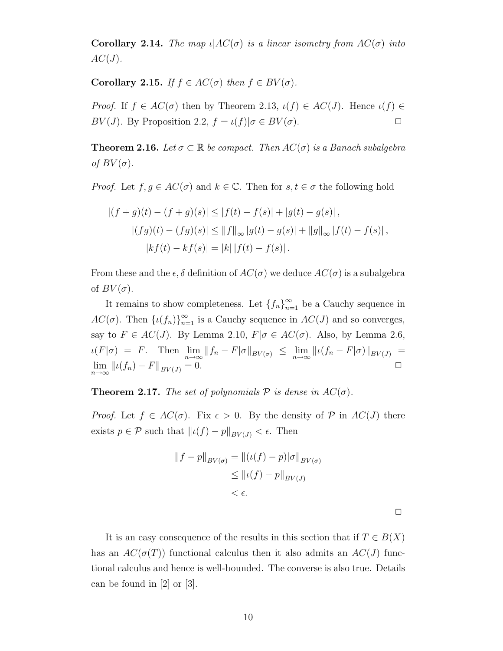**Corollary 2.14.** The map  $\iota$   $AC(\sigma)$  is a linear isometry from  $AC(\sigma)$  into  $AC(J)$ .

Corollary 2.15. If  $f \in AC(\sigma)$  then  $f \in BV(\sigma)$ .

Proof. If  $f \in AC(\sigma)$  then by Theorem 2.13,  $\iota(f) \in AC(J)$ . Hence  $\iota(f) \in$ BV(J). By Proposition 2.2,  $f = \iota(f)|\sigma \in BV(\sigma)$ .

**Theorem 2.16.** Let  $\sigma \subset \mathbb{R}$  be compact. Then  $AC(\sigma)$  is a Banach subalgebra of  $BV(\sigma)$ .

*Proof.* Let  $f, g \in AC(\sigma)$  and  $k \in \mathbb{C}$ . Then for  $s, t \in \sigma$  the following hold

$$
|(f+g)(t) - (f+g)(s)| \le |f(t) - f(s)| + |g(t) - g(s)|,
$$
  

$$
|(fg)(t) - (fg)(s)| \le ||f||_{\infty} |g(t) - g(s)| + ||g||_{\infty} |f(t) - f(s)|,
$$
  

$$
|kf(t) - kf(s)| = |k| |f(t) - f(s)|.
$$

From these and the  $\epsilon, \delta$  definition of  $AC(\sigma)$  we deduce  $AC(\sigma)$  is a subalgebra of  $BV(\sigma)$ .

It remains to show completeness. Let  ${f_n}_{n=1}^{\infty}$  be a Cauchy sequence in  $AC(\sigma)$ . Then  $\{\iota(f_n)\}_{n=1}^{\infty}$  is a Cauchy sequence in  $AC(J)$  and so converges, say to  $F \in AC(J)$ . By Lemma 2.10,  $F | \sigma \in AC(\sigma)$ . Also, by Lemma 2.6,  $\iota(F|\sigma) = F$ . Then  $\lim_{n \to \infty} ||f_n - F|\sigma||_{BV(\sigma)} \leq \lim_{n \to \infty} ||\iota(f_n - F|\sigma)||_{BV(J)} =$  $\lim_{n \to \infty} ||\iota(f_n) - F||_{BV(J)} = 0.$ 

**Theorem 2.17.** The set of polynomials  $P$  is dense in  $AC(\sigma)$ .

*Proof.* Let  $f \in AC(\sigma)$ . Fix  $\epsilon > 0$ . By the density of P in  $AC(J)$  there exists  $p \in \mathcal{P}$  such that  $||\iota(f) - p||_{BV(J)} < \epsilon$ . Then

$$
||f - p||_{BV(\sigma)} = ||(\iota(f) - p)|\sigma||_{BV(\sigma)}
$$
  
\n
$$
\leq ||\iota(f) - p||_{BV(J)}
$$
  
\n
$$
< \epsilon.
$$

 $\Box$ 

It is an easy consequence of the results in this section that if  $T \in B(X)$ has an  $AC(\sigma(T))$  functional calculus then it also admits an  $AC(J)$  functional calculus and hence is well-bounded. The converse is also true. Details can be found in [2] or [3].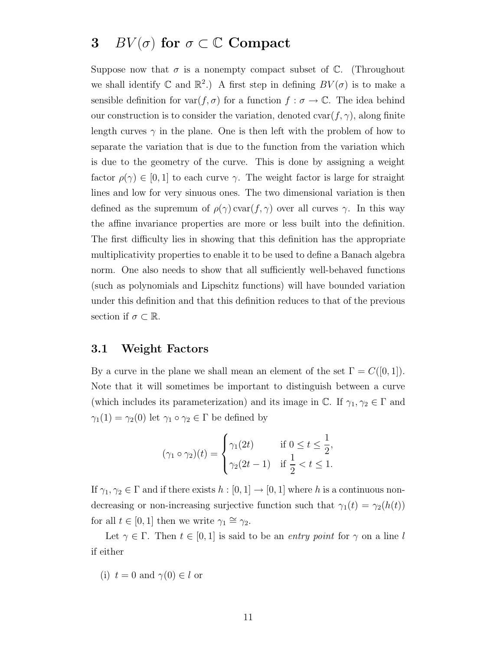# 3 BV( $\sigma$ ) for  $\sigma \subset \mathbb{C}$  Compact

Suppose now that  $\sigma$  is a nonempty compact subset of  $\mathbb{C}$ . (Throughout we shall identify  $\mathbb C$  and  $\mathbb R^2$ .) A first step in defining  $BV(\sigma)$  is to make a sensible definition for  $var(f, \sigma)$  for a function  $f : \sigma \to \mathbb{C}$ . The idea behind our construction is to consider the variation, denoted  $\text{cvar}(f, \gamma)$ , along finite length curves  $\gamma$  in the plane. One is then left with the problem of how to separate the variation that is due to the function from the variation which is due to the geometry of the curve. This is done by assigning a weight factor  $\rho(\gamma) \in [0, 1]$  to each curve  $\gamma$ . The weight factor is large for straight lines and low for very sinuous ones. The two dimensional variation is then defined as the supremum of  $\rho(\gamma)$  cvar $(f, \gamma)$  over all curves  $\gamma$ . In this way the affine invariance properties are more or less built into the definition. The first difficulty lies in showing that this definition has the appropriate multiplicativity properties to enable it to be used to define a Banach algebra norm. One also needs to show that all sufficiently well-behaved functions (such as polynomials and Lipschitz functions) will have bounded variation under this definition and that this definition reduces to that of the previous section if  $\sigma \subset \mathbb{R}$ .

#### 3.1 Weight Factors

By a curve in the plane we shall mean an element of the set  $\Gamma = C([0, 1]).$ Note that it will sometimes be important to distinguish between a curve (which includes its parameterization) and its image in  $\mathbb{C}$ . If  $\gamma_1, \gamma_2 \in \Gamma$  and  $\gamma_1(1) = \gamma_2(0)$  let  $\gamma_1 \circ \gamma_2 \in \Gamma$  be defined by

$$
(\gamma_1 \circ \gamma_2)(t) = \begin{cases} \gamma_1(2t) & \text{if } 0 \le t \le \frac{1}{2}, \\ \gamma_2(2t-1) & \text{if } \frac{1}{2} < t \le 1. \end{cases}
$$

If  $\gamma_1, \gamma_2 \in \Gamma$  and if there exists  $h : [0, 1] \to [0, 1]$  where h is a continuous nondecreasing or non-increasing surjective function such that  $\gamma_1(t) = \gamma_2(h(t))$ for all  $t \in [0, 1]$  then we write  $\gamma_1 \cong \gamma_2$ .

Let  $\gamma \in \Gamma$ . Then  $t \in [0,1]$  is said to be an entry point for  $\gamma$  on a line l if either

(i) 
$$
t = 0
$$
 and  $\gamma(0) \in l$  or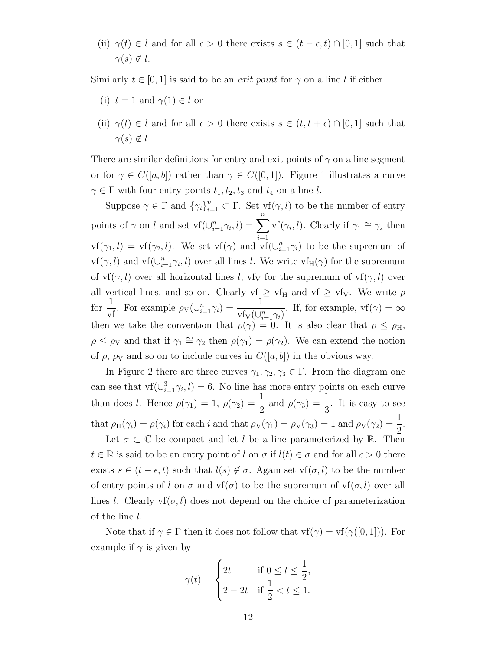(ii)  $\gamma(t) \in l$  and for all  $\epsilon > 0$  there exists  $s \in (t - \epsilon, t) \cap [0, 1]$  such that  $\gamma(s) \notin l$ .

Similarly  $t \in [0, 1]$  is said to be an *exit point* for  $\gamma$  on a line l if either

- (i)  $t = 1$  and  $\gamma(1) \in l$  or
- (ii)  $\gamma(t) \in l$  and for all  $\epsilon > 0$  there exists  $s \in (t, t + \epsilon) \cap [0, 1]$  such that  $\gamma(s) \notin l$ .

There are similar definitions for entry and exit points of  $\gamma$  on a line segment or for  $\gamma \in C([a, b])$  rather than  $\gamma \in C([0, 1])$ . Figure 1 illustrates a curve  $\gamma \in \Gamma$  with four entry points  $t_1, t_2, t_3$  and  $t_4$  on a line l.

Suppose  $\gamma \in \Gamma$  and  $\{\gamma_i\}_{i=1}^n \subset \Gamma$ . Set  $\text{vf}(\gamma, l)$  to be the number of entry points of  $\gamma$  on l and set  $\text{vf}(\cup_{i=1}^{n} \gamma_i, l) = \sum_{i=1}^{n}$  $i=1$  $\text{vf}(\gamma_i, l)$ . Clearly if  $\gamma_1 \cong \gamma_2$  then  $\text{vf}(\gamma_1, l) = \text{vf}(\gamma_2, l)$ . We set  $\text{vf}(\gamma)$  and  $\text{vf}(\bigcup_{i=1}^n \gamma_i)$  to be the supremum of  $\text{vf}(\gamma, l)$  and  $\text{vf}(\bigcup_{i=1}^n \gamma_i, l)$  over all lines l. We write  $\text{vf}_H(\gamma)$  for the supremum of  $\mathbf{v}(\gamma, l)$  over all horizontal lines l,  $\mathbf{v}(\gamma, \mathbf{v})$  for the supremum of  $\mathbf{v}(\gamma, l)$  over all vertical lines, and so on. Clearly  $vf_1 \geq vf_H$  and  $vf_2 \geq vf_V$ . We write  $\rho$ for  $\frac{1}{\sqrt{2}}$  $\frac{1}{\text{vf}}$ . For example  $\rho_V(\cup_{i=1}^n \gamma_i)$  = 1  $\overline{v_{\text{IV}}(\cup_{i=1}^n \gamma_i)}$ . If, for example,  $v_f(\gamma) = \infty$ then we take the convention that  $\rho(\gamma) = 0$ . It is also clear that  $\rho \leq \rho_H$ ,  $\rho \leq \rho_V$  and that if  $\gamma_1 \cong \gamma_2$  then  $\rho(\gamma_1) = \rho(\gamma_2)$ . We can extend the notion of  $\rho$ ,  $\rho_V$  and so on to include curves in  $C([a, b])$  in the obvious way.

In Figure 2 there are three curves  $\gamma_1, \gamma_2, \gamma_3 \in \Gamma$ . From the diagram one can see that  $\text{vf}(\cup_{i=1}^{3} \gamma_i, l) = 6$ . No line has more entry points on each curve than does l. Hence  $\rho(\gamma_1) = 1$ ,  $\rho(\gamma_2) =$ 1  $\frac{1}{2}$  and  $\rho(\gamma_3)$  = 1 3 . It is easy to see that  $\rho_H(\gamma_i) = \rho(\gamma_i)$  for each i and that  $\rho_V(\gamma_1) = \rho_V(\gamma_3) = 1$  and  $\rho_V(\gamma_2) =$ 1 2 .

Let  $\sigma \subset \mathbb{C}$  be compact and let l be a line parameterized by R. Then  $t \in \mathbb{R}$  is said to be an entry point of l on  $\sigma$  if  $l(t) \in \sigma$  and for all  $\epsilon > 0$  there exists  $s \in (t - \epsilon, t)$  such that  $l(s) \notin \sigma$ . Again set vf $(\sigma, l)$  to be the number of entry points of l on  $\sigma$  and vf( $\sigma$ ) to be the supremum of vf( $\sigma$ , l) over all lines l. Clearly  $\mathsf{v}(\sigma, l)$  does not depend on the choice of parameterization of the line l.

Note that if  $\gamma \in \Gamma$  then it does not follow that  $\text{vf}(\gamma) = \text{vf}(\gamma([0,1]))$ . For example if  $\gamma$  is given by

$$
\gamma(t) = \begin{cases} 2t & \text{if } 0 \le t \le \frac{1}{2}, \\ 2 - 2t & \text{if } \frac{1}{2} < t \le 1. \end{cases}
$$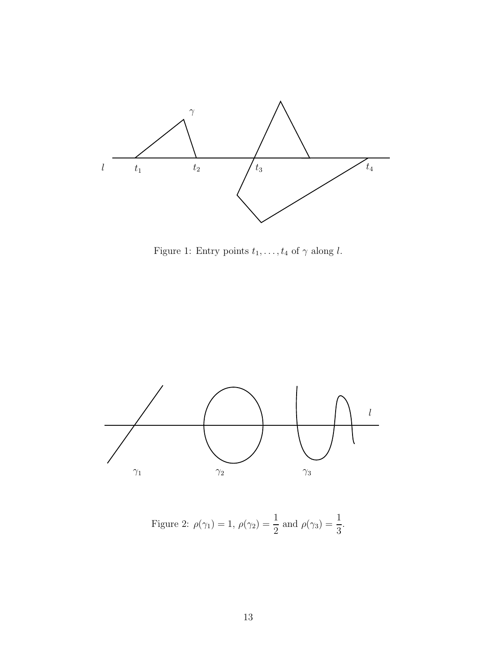

Figure 1: Entry points  $t_1, \ldots, t_4$  of  $\gamma$  along l.



Figure 2: 
$$
\rho(\gamma_1) = 1
$$
,  $\rho(\gamma_2) = \frac{1}{2}$  and  $\rho(\gamma_3) = \frac{1}{3}$ .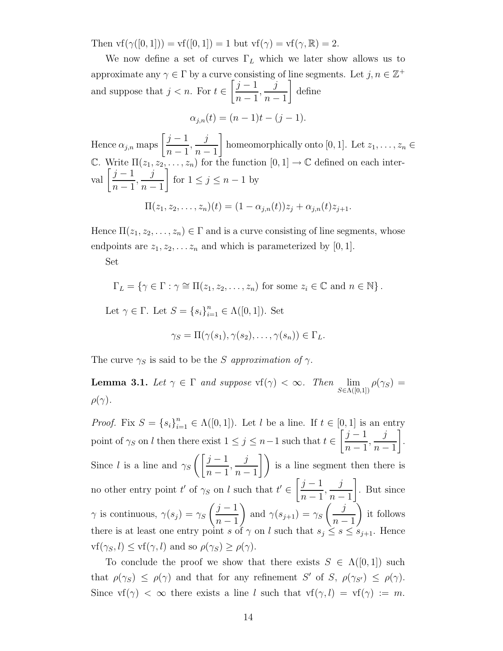Then  $\text{vf}(\gamma([0,1])) = \text{vf}([0,1]) = 1$  but  $\text{vf}(\gamma) = \text{vf}(\gamma, \mathbb{R}) = 2$ .

We now define a set of curves  $\Gamma_L$  which we later show allows us to approximate any  $\gamma \in \Gamma$  by a curve consisting of line segments. Let  $j, n \in \mathbb{Z}^+$ and suppose that  $j < n$ . For  $t \in$  $\left[\underline{j-1}\right]$  $n-1$ , j  $n-1$ 1 define

$$
\alpha_{j,n}(t) = (n-1)t - (j-1).
$$

Hence  $\alpha_{j,n}$  maps  $\left[\frac{j-1}{n-1}\right]$  $n-1$ , j  $n-1$ 1 homeomorphically onto [0, 1]. Let  $z_1, \ldots, z_n \in$ C. Write  $\Pi(z_1, z_2, \ldots, z_n)$  for the function  $[0, 1] \to \mathbb{C}$  defined on each interval  $\left[\frac{j-1}{1}\right]$  $n-1$ , j  $n-1$ 1 for  $1 \leq j \leq n-1$  by  $\Pi(z_1, z_2, \ldots, z_n)(t) = (1 - \alpha_{i,n}(t))z_i + \alpha_{i,n}(t)z_{i+1}.$ 

Hence  $\Pi(z_1, z_2, \ldots, z_n) \in \Gamma$  and is a curve consisting of line segments, whose endpoints are  $z_1, z_2, \ldots z_n$  and which is parameterized by [0, 1].

Set

 $\Gamma_L = \{ \gamma \in \Gamma : \gamma \cong \Pi(z_1, z_2, \dots, z_n) \text{ for some } z_i \in \mathbb{C} \text{ and } n \in \mathbb{N} \}.$ 

Let  $\gamma \in \Gamma$ . Let  $S = \{s_i\}_{i=1}^n \in \Lambda([0,1])$ . Set

$$
\gamma_S = \Pi(\gamma(s_1), \gamma(s_2), \ldots, \gamma(s_n)) \in \Gamma_L.
$$

The curve  $\gamma_S$  is said to be the S approximation of  $\gamma$ .

**Lemma 3.1.** Let  $\gamma \in \Gamma$  and suppose  $\text{vf}(\gamma) < \infty$ . Then  $\lim_{S \in \Lambda([0,1])} \rho(\gamma_S) =$  $\rho(\gamma)$ .

*Proof.* Fix  $S = \{s_i\}_{i=1}^n \in \Lambda([0,1])$ . Let l be a line. If  $t \in [0,1]$  is an entry point of  $\gamma_S$  on l then there exist  $1 \leq j \leq n-1$  such that  $t \in \left[\frac{j-1}{n-1}\right]$  $n-1$ , j  $n-1$ 1 . Since l is a line and  $\gamma_S \left( \frac{j-1}{n-1} \right)$  $n-1$ , j  $n-1$  $\bigwedge$ is a line segment then there is no other entry point t' of  $\gamma_S$  on l such that  $t' \in \left[\frac{j-1}{n-1}\right]$  $n-1$ , j  $\frac{n-1}{2}$ 1 . But since  $\gamma$  is continuous,  $\gamma(s_j) = \gamma_S \left( \frac{j-1}{n-1} \right)$  $n-1$ ) and  $\gamma(s_{j+1}) = \gamma_s \left( \frac{j}{s} \right)$  $\frac{n-1}{2}$  $\setminus$ it follows there is at least one entry point s of  $\gamma$  on l such that  $s_j \leq s \leq s_{j+1}$ . Hence  $\text{vf}(\gamma_S, l) \leq \text{vf}(\gamma, l)$  and so  $\rho(\gamma_S) \geq \rho(\gamma)$ .

To conclude the proof we show that there exists  $S \in \Lambda([0,1])$  such that  $\rho(\gamma_S) \leq \rho(\gamma)$  and that for any refinement S' of S,  $\rho(\gamma_{S'}) \leq \rho(\gamma)$ . Since  $\text{vf}(\gamma) < \infty$  there exists a line l such that  $\text{vf}(\gamma, l) = \text{vf}(\gamma) := m$ .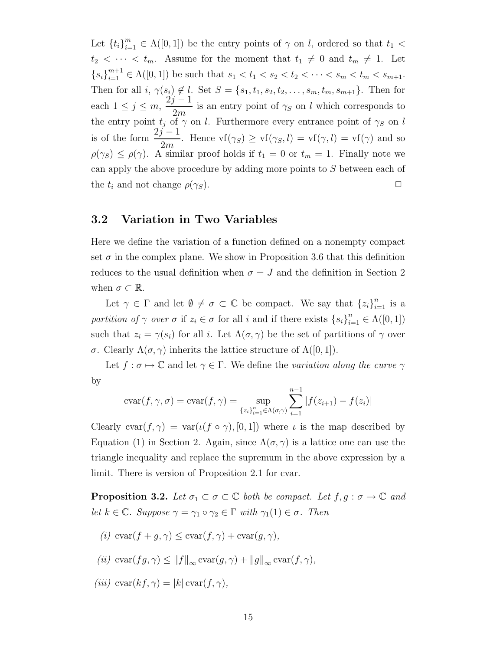Let  $\{t_i\}_{i=1}^m \in \Lambda([0,1])$  be the entry points of  $\gamma$  on l, ordered so that  $t_1$  <  $t_2 < \cdots < t_m$ . Assume for the moment that  $t_1 \neq 0$  and  $t_m \neq 1$ . Let  ${s_i}_{i=1}^{m+1} \in \Lambda([0,1])$  be such that  $s_1 < t_1 < s_2 < t_2 < \cdots < s_m < t_m < s_{m+1}$ . Then for all  $i, \gamma(s_i) \notin l$ . Set  $S = \{s_1, t_1, s_2, t_2, \ldots, s_m, t_m, s_{m+1}\}$ . Then for each  $1 \leq j \leq m$ ,  $2j-1$  $\frac{V}{2m}$  is an entry point of  $\gamma_S$  on l which corresponds to the entry point  $t_i$  of  $\gamma$  on l. Furthermore every entrance point of  $\gamma_S$  on l is of the form  $\frac{2j-1}{2}$  $\frac{\sqrt{2m}}{2m}$ . Hence  $\text{vf}(\gamma_S) \geq \text{vf}(\gamma_S, l) = \text{vf}(\gamma, l) = \text{vf}(\gamma)$  and so  $\rho(\gamma_S) \leq \rho(\gamma)$ . A similar proof holds if  $t_1 = 0$  or  $t_m = 1$ . Finally note we can apply the above procedure by adding more points to S between each of the  $t_i$  and not change  $\rho(\gamma_S)$ .

#### 3.2 Variation in Two Variables

Here we define the variation of a function defined on a nonempty compact set  $\sigma$  in the complex plane. We show in Proposition 3.6 that this definition reduces to the usual definition when  $\sigma = J$  and the definition in Section 2 when  $\sigma \subset \mathbb{R}$ .

Let  $\gamma \in \Gamma$  and let  $\emptyset \neq \sigma \subset \mathbb{C}$  be compact. We say that  ${z_i}_{i=1}^n$  is a partition of  $\gamma$  over  $\sigma$  if  $z_i \in \sigma$  for all i and if there exists  $\{s_i\}_{i=1}^n \in \Lambda([0,1])$ such that  $z_i = \gamma(s_i)$  for all i. Let  $\Lambda(\sigma, \gamma)$  be the set of partitions of  $\gamma$  over σ. Clearly Λ(σ, γ) inherits the lattice structure of Λ([0, 1]).

Let  $f : \sigma \mapsto \mathbb{C}$  and let  $\gamma \in \Gamma$ . We define the variation along the curve  $\gamma$ by

$$
cvar(f, \gamma, \sigma) = \text{cvar}(f, \gamma) = \sup_{\{z_i\}_{i=1}^n \in \Lambda(\sigma, \gamma)} \sum_{i=1}^{n-1} |f(z_{i+1}) - f(z_i)|
$$

Clearly cvar $(f, \gamma) = \text{var}(t(f \circ \gamma), [0, 1])$  where  $\iota$  is the map described by Equation (1) in Section 2. Again, since  $\Lambda(\sigma, \gamma)$  is a lattice one can use the triangle inequality and replace the supremum in the above expression by a limit. There is version of Proposition 2.1 for cvar.

**Proposition 3.2.** Let  $\sigma_1 \subset \sigma \subset \mathbb{C}$  both be compact. Let  $f, g : \sigma \to \mathbb{C}$  and let  $k \in \mathbb{C}$ . Suppose  $\gamma = \gamma_1 \circ \gamma_2 \in \Gamma$  with  $\gamma_1(1) \in \sigma$ . Then

- (i) cvar $(f + q, \gamma) \leq \text{cvar}(f, \gamma) + \text{cvar}(q, \gamma),$
- (ii)  $\operatorname{cvar}(fg, \gamma) \le ||f||_{\infty} \operatorname{cvar}(g, \gamma) + ||g||_{\infty} \operatorname{cvar}(f, \gamma),$
- (iii)  $\operatorname{cvar}(kf, \gamma) = |k| \operatorname{cvar}(f, \gamma),$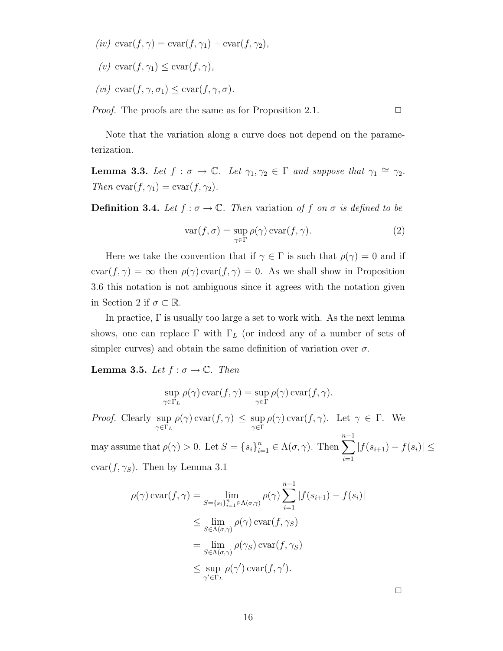- (iv)  $\operatorname{cvar}(f, \gamma) = \operatorname{cvar}(f, \gamma_1) + \operatorname{cvar}(f, \gamma_2),$
- (v) cvar $(f, \gamma_1) \leq \text{cvar}(f, \gamma)$ ,
- (vi) cvar $(f, \gamma, \sigma_1) \leq \text{cvar}(f, \gamma, \sigma)$ .

*Proof.* The proofs are the same as for Proposition 2.1.  $\Box$ 

Note that the variation along a curve does not depend on the parameterization.

**Lemma 3.3.** Let  $f : \sigma \to \mathbb{C}$ . Let  $\gamma_1, \gamma_2 \in \Gamma$  and suppose that  $\gamma_1 \cong \gamma_2$ . Then  $\text{cvar}(f, \gamma_1) = \text{cvar}(f, \gamma_2).$ 

**Definition 3.4.** Let  $f : \sigma \to \mathbb{C}$ . Then variation of f on  $\sigma$  is defined to be

$$
\operatorname{var}(f, \sigma) = \sup_{\gamma \in \Gamma} \rho(\gamma) \operatorname{cvar}(f, \gamma).
$$
 (2)

Here we take the convention that if  $\gamma \in \Gamma$  is such that  $\rho(\gamma) = 0$  and if  $cvar(f, \gamma) = \infty$  then  $\rho(\gamma) var(f, \gamma) = 0$ . As we shall show in Proposition 3.6 this notation is not ambiguous since it agrees with the notation given in Section 2 if  $\sigma \subset \mathbb{R}$ .

In practice,  $\Gamma$  is usually too large a set to work with. As the next lemma shows, one can replace  $\Gamma$  with  $\Gamma_L$  (or indeed any of a number of sets of simpler curves) and obtain the same definition of variation over  $\sigma$ .

**Lemma 3.5.** Let  $f : \sigma \to \mathbb{C}$ . Then

$$
\sup_{\gamma \in \Gamma_L} \rho(\gamma) \operatorname{cvar}(f, \gamma) = \sup_{\gamma \in \Gamma} \rho(\gamma) \operatorname{cvar}(f, \gamma).
$$

Proof. Clearly sup  $\sup_{\gamma \in \Gamma_L} \rho(\gamma) \operatorname{cvar}(f, \gamma) \leq \sup_{\gamma \in \Gamma} \rho(\gamma) \operatorname{cvar}(f, \gamma)$ . Let  $\gamma \in \Gamma$ . We

may assume that  $\rho(\gamma) > 0$ . Let  $S = \{s_i\}_{i=1}^n$  $\sum_{i=1}^{n} \in \Lambda(\sigma, \gamma)$ . Then  $\sum_{i=1}^{n-1}$  $i=1$  $|f(s_{i+1}) - f(s_i)| \leq$  $cvar(f, \gamma_S)$ . Then by Lemma 3.1

$$
\rho(\gamma) \operatorname{cvar}(f, \gamma) = \lim_{S = \{s_i\}_{i=1}^n \in \Lambda(\sigma, \gamma)} \rho(\gamma) \sum_{i=1}^{n-1} |f(s_{i+1}) - f(s_i)|
$$
  
\n
$$
\leq \lim_{S \in \Lambda(\sigma, \gamma)} \rho(\gamma) \operatorname{cvar}(f, \gamma_S)
$$
  
\n
$$
= \lim_{S \in \Lambda(\sigma, \gamma)} \rho(\gamma_S) \operatorname{cvar}(f, \gamma_S)
$$
  
\n
$$
\leq \sup_{\gamma' \in \Gamma_L} \rho(\gamma') \operatorname{cvar}(f, \gamma').
$$

 $\Box$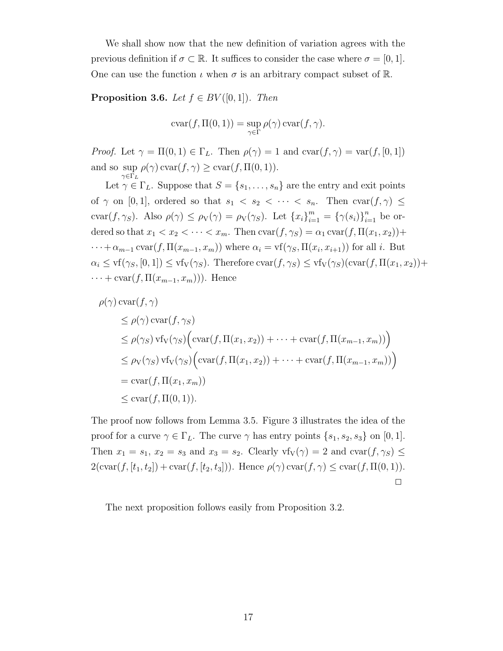We shall show now that the new definition of variation agrees with the previous definition if  $\sigma \subset \mathbb{R}$ . It suffices to consider the case where  $\sigma = [0, 1]$ . One can use the function  $\iota$  when  $\sigma$  is an arbitrary compact subset of  $\mathbb{R}$ .

**Proposition 3.6.** Let  $f \in BV([0,1])$ . Then

$$
cvar(f, \Pi(0, 1)) = \sup_{\gamma \in \Gamma} \rho(\gamma) \operatorname{cvar}(f, \gamma).
$$

*Proof.* Let  $\gamma = \Pi(0, 1) \in \Gamma_L$ . Then  $\rho(\gamma) = 1$  and  $\text{cvar}(f, \gamma) = \text{var}(f, [0, 1])$ and so  $\sup_{\gamma \in \Gamma} \rho(\gamma) \operatorname{cvar}(f, \gamma) \ge \operatorname{cvar}(f, \Pi(0, 1)).$ 

 $\gamma {\in} \Gamma_L$ Let  $\gamma \in \Gamma_L$ . Suppose that  $S = \{s_1, \ldots, s_n\}$  are the entry and exit points of  $\gamma$  on [0, 1], ordered so that  $s_1 < s_2 < \cdots < s_n$ . Then  $\text{cvar}(f, \gamma) \leq$ cvar $(f, \gamma_S)$ . Also  $\rho(\gamma) \le \rho_V(\gamma) = \rho_V(\gamma_S)$ . Let  $\{x_i\}_{i=1}^m = \{\gamma(s_i)\}_{i=1}^n$  be ordered so that  $x_1 < x_2 < \cdots < x_m$ . Then  $\text{cvar}(f, \gamma_s) = \alpha_1 \text{cvar}(f, \Pi(x_1, x_2)) +$  $\cdots + \alpha_{m-1} \operatorname{cvar}(f, \Pi(x_{m-1}, x_m))$  where  $\alpha_i = \operatorname{vf}(\gamma_S, \Pi(x_i, x_{i+1}))$  for all *i*. But  $\alpha_i \leq \text{vf}(\gamma_S, [0, 1]) \leq \text{vf}_V(\gamma_S)$ . Therefore  $\text{cvar}(f, \gamma_S) \leq \text{vf}_V(\gamma_S)(\text{cvar}(f, \Pi(x_1, x_2)) +$  $\cdots$  + cvar(f,  $\Pi(x_{m-1}, x_m)$ )). Hence

$$
\rho(\gamma) \operatorname{cvar}(f, \gamma)
$$
  
\n
$$
\leq \rho(\gamma) \operatorname{cvar}(f, \gamma_S)
$$
  
\n
$$
\leq \rho(\gamma_S) \operatorname{vf}_V(\gamma_S) \Big( \operatorname{cvar}(f, \Pi(x_1, x_2)) + \dots + \operatorname{cvar}(f, \Pi(x_{m-1}, x_m)) \Big)
$$
  
\n
$$
\leq \rho_V(\gamma_S) \operatorname{vf}_V(\gamma_S) \Big( \operatorname{cvar}(f, \Pi(x_1, x_2)) + \dots + \operatorname{cvar}(f, \Pi(x_{m-1}, x_m)) \Big)
$$
  
\n
$$
= \operatorname{cvar}(f, \Pi(x_1, x_m))
$$
  
\n
$$
\leq \operatorname{cvar}(f, \Pi(0, 1)).
$$

The proof now follows from Lemma 3.5. Figure 3 illustrates the idea of the proof for a curve  $\gamma \in \Gamma_L$ . The curve  $\gamma$  has entry points  $\{s_1, s_2, s_3\}$  on [0, 1]. Then  $x_1 = s_1$ ,  $x_2 = s_3$  and  $x_3 = s_2$ . Clearly  $\text{vf}_{\text{V}}(\gamma) = 2$  and  $\text{cvar}(f, \gamma_S) \leq$  $2(\text{cvar}(f, [t_1, t_2]) + \text{cvar}(f, [t_2, t_3]))$ . Hence  $\rho(\gamma) \text{cvar}(f, \gamma) \leq \text{cvar}(f, \Pi(0, 1))$ .  $\Box$ 

The next proposition follows easily from Proposition 3.2.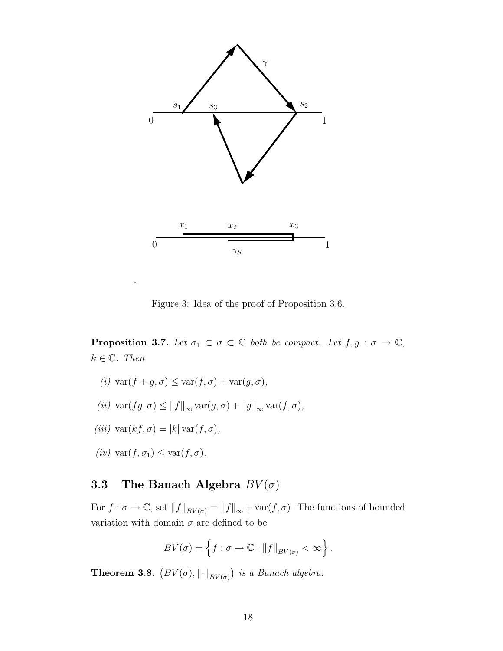

Figure 3: Idea of the proof of Proposition 3.6.

**Proposition 3.7.** Let  $\sigma_1 \subset \sigma \subset \mathbb{C}$  both be compact. Let  $f, g : \sigma \to \mathbb{C}$ ,  $k \in \mathbb{C}$ . Then

- (i)  $\text{var}(f + q, \sigma) \leq \text{var}(f, \sigma) + \text{var}(q, \sigma)$ ,
- (ii)  $\text{var}(fg, \sigma) \leq ||f||_{\infty} \text{var}(g, \sigma) + ||g||_{\infty} \text{var}(f, \sigma),$
- (iii)  $\text{var}(kf, \sigma) = |k| \text{var}(f, \sigma),$
- (iv)  $\text{var}(f, \sigma_1) \leq \text{var}(f, \sigma)$ .

.

### 3.3 The Banach Algebra  $BV(\sigma)$

For  $f: \sigma \to \mathbb{C}$ , set  $||f||_{BV(\sigma)} = ||f||_{\infty} + \text{var}(f, \sigma)$ . The functions of bounded variation with domain  $\sigma$  are defined to be

$$
BV(\sigma) = \left\{ f : \sigma \mapsto \mathbb{C} : ||f||_{BV(\sigma)} < \infty \right\}.
$$

**Theorem 3.8.**  $(BV(\sigma), \|\cdot\|_{BV(\sigma)})$  is a Banach algebra.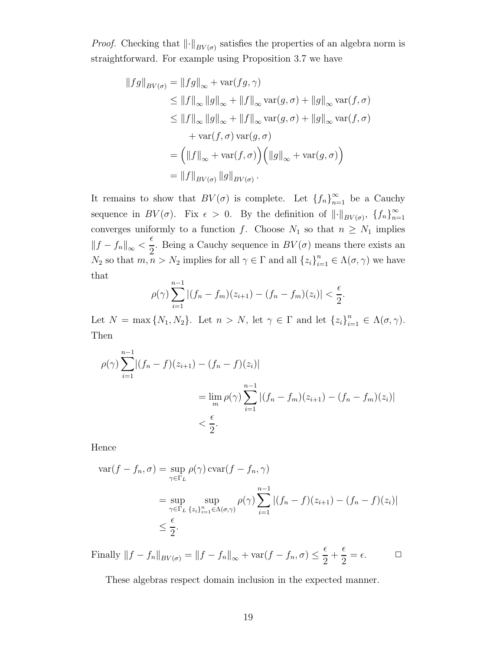*Proof.* Checking that  $\left\| \cdot \right\|_{BV(\sigma)}$  satisfies the properties of an algebra norm is straightforward. For example using Proposition 3.7 we have

$$
||fg||_{BV(\sigma)} = ||fg||_{\infty} + \text{var}(fg, \gamma)
$$
  
\n
$$
\leq ||f||_{\infty} ||g||_{\infty} + ||f||_{\infty} \text{var}(g, \sigma) + ||g||_{\infty} \text{var}(f, \sigma)
$$
  
\n
$$
\leq ||f||_{\infty} ||g||_{\infty} + ||f||_{\infty} \text{var}(g, \sigma) + ||g||_{\infty} \text{var}(f, \sigma)
$$
  
\n
$$
+ \text{var}(f, \sigma) \text{var}(g, \sigma)
$$
  
\n
$$
= (||f||_{\infty} + \text{var}(f, \sigma)) (||g||_{\infty} + \text{var}(g, \sigma))
$$
  
\n
$$
= ||f||_{BV(\sigma)} ||g||_{BV(\sigma)} .
$$

It remains to show that  $BV(\sigma)$  is complete. Let  $\{f_n\}_{n=1}^{\infty}$  be a Cauchy sequence in  $BV(\sigma)$ . Fix  $\epsilon > 0$ . By the definition of  $\lVert \cdot \rVert_{BV(\sigma)}$ ,  $\{f_n\}_{n=0}^{\infty}$  $n=1$ converges uniformly to a function f. Choose  $N_1$  so that  $n \geq N_1$  implies  $||f - f_n||_{\infty}$  <  $\epsilon$ 2 . Being a Cauchy sequence in  $BV(\sigma)$  means there exists an  $N_2$  so that  $m, n > N_2$  implies for all  $\gamma \in \Gamma$  and all  $\{z_i\}_{i=1}^n \in \Lambda(\sigma, \gamma)$  we have that

$$
\rho(\gamma) \sum_{i=1}^{n-1} |(f_n - f_m)(z_{i+1}) - (f_n - f_m)(z_i)| < \frac{\epsilon}{2}.
$$

Let  $N = \max\{N_1, N_2\}$ . Let  $n > N$ , let  $\gamma \in \Gamma$  and let  $\{z_i\}_{i=1}^n \in \Lambda(\sigma, \gamma)$ . Then

$$
\rho(\gamma) \sum_{i=1}^{n-1} |(f_n - f)(z_{i+1}) - (f_n - f)(z_i)|
$$
  
= 
$$
\lim_{m} \rho(\gamma) \sum_{i=1}^{n-1} |(f_n - f_m)(z_{i+1}) - (f_n - f_m)(z_i)|
$$
  
< 
$$
< \frac{\epsilon}{2}.
$$

Hence

$$
\operatorname{var}(f - f_n, \sigma) = \sup_{\gamma \in \Gamma_L} \rho(\gamma) \operatorname{cvar}(f - f_n, \gamma)
$$
  
= 
$$
\sup_{\gamma \in \Gamma_L} \sup_{\{z_i\}_{i=1}^n \in \Lambda(\sigma, \gamma)} \rho(\gamma) \sum_{i=1}^{n-1} |(f_n - f)(z_{i+1}) - (f_n - f)(z_i)|
$$
  

$$
\leq \frac{\epsilon}{2}.
$$

Finally  $||f - f_n||_{BV(\sigma)} = ||f - f_n||_{\infty} + \text{var}(f - f_n, \sigma) \le$  $\epsilon$ 2  $+$  $\epsilon$ 2  $=\epsilon$ .  $\Box$ 

These algebras respect domain inclusion in the expected manner.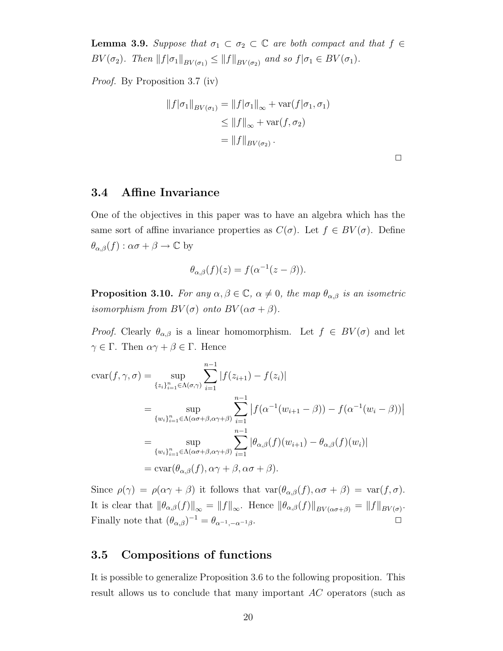**Lemma 3.9.** Suppose that  $\sigma_1 \subset \sigma_2 \subset \mathbb{C}$  are both compact and that  $f \in$  $BV(\sigma_2)$ . Then  $||f|\sigma_1||_{BV(\sigma_1)} \leq ||f||_{BV(\sigma_2)}$  and so  $f|\sigma_1 \in BV(\sigma_1)$ .

Proof. By Proposition 3.7 (iv)

$$
||f|\sigma_1||_{BV(\sigma_1)} = ||f|\sigma_1||_{\infty} + \text{var}(f|\sigma_1, \sigma_1)
$$
  
\n
$$
\leq ||f||_{\infty} + \text{var}(f, \sigma_2)
$$
  
\n
$$
= ||f||_{BV(\sigma_2)}.
$$

 $\Box$ 

#### 3.4 Affine Invariance

One of the objectives in this paper was to have an algebra which has the same sort of affine invariance properties as  $C(\sigma)$ . Let  $f \in BV(\sigma)$ . Define  $\theta_{\alpha,\beta}(f) : \alpha\sigma + \beta \to \mathbb{C}$  by

$$
\theta_{\alpha,\beta}(f)(z) = f(\alpha^{-1}(z-\beta)).
$$

**Proposition 3.10.** For any  $\alpha, \beta \in \mathbb{C}$ ,  $\alpha \neq 0$ , the map  $\theta_{\alpha,\beta}$  is an isometric isomorphism from  $BV(\sigma)$  onto  $BV(\alpha\sigma+\beta)$ .

*Proof.* Clearly  $\theta_{\alpha,\beta}$  is a linear homomorphism. Let  $f \in BV(\sigma)$  and let  $\gamma \in \Gamma$ . Then  $\alpha \gamma + \beta \in \Gamma$ . Hence

$$
\operatorname{cvar}(f, \gamma, \sigma) = \sup_{\{z_i\}_{i=1}^n \in \Lambda(\sigma, \gamma)} \sum_{i=1}^{n-1} |f(z_{i+1}) - f(z_i)|
$$
  
\n
$$
= \sup_{\{w_i\}_{i=1}^n \in \Lambda(\alpha \sigma + \beta, \alpha \gamma + \beta\}} \sum_{i=1}^{n-1} |f(\alpha^{-1}(w_{i+1} - \beta)) - f(\alpha^{-1}(w_i - \beta))|
$$
  
\n
$$
= \sup_{\{w_i\}_{i=1}^n \in \Lambda(\alpha \sigma + \beta, \alpha \gamma + \beta\}} \sum_{i=1}^{n-1} |\theta_{\alpha,\beta}(f)(w_{i+1}) - \theta_{\alpha,\beta}(f)(w_i)|
$$
  
\n
$$
= \operatorname{cvar}(\theta_{\alpha,\beta}(f), \alpha \gamma + \beta, \alpha \sigma + \beta).
$$

Since  $\rho(\gamma) = \rho(\alpha \gamma + \beta)$  it follows that  $\text{var}(\theta_{\alpha,\beta}(f), \alpha \sigma + \beta) = \text{var}(f, \sigma)$ . It is clear that  $\|\theta_{\alpha,\beta}(f)\|_{\infty} = \|f\|_{\infty}$ . Hence  $\|\theta_{\alpha,\beta}(f)\|_{BV(\alpha\sigma+\beta)} = \|f\|_{BV(\sigma)}$ . Finally note that  $(\theta_{\alpha,\beta})^{-1} = \theta_{\alpha^{-1},-\alpha^{-1}\beta}$ .

### 3.5 Compositions of functions

It is possible to generalize Proposition 3.6 to the following proposition. This result allows us to conclude that many important AC operators (such as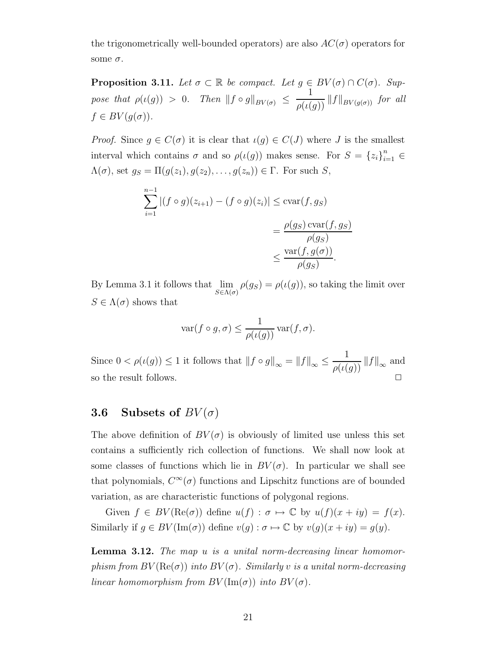the trigonometrically well-bounded operators) are also  $AC(\sigma)$  operators for some  $\sigma$ .

**Proposition 3.11.** Let  $\sigma \subset \mathbb{R}$  be compact. Let  $g \in BV(\sigma) \cap C(\sigma)$ . Suppose that  $\rho(\iota(g)) > 0$ . Then  $||f \circ g||_{BV(\sigma)} \leq$ 1  $\frac{1}{\rho(\iota(g))}||f||_{BV(g(\sigma))}$  for all  $f \in BV(g(\sigma))$ .

*Proof.* Since  $g \in C(\sigma)$  it is clear that  $\iota(g) \in C(J)$  where J is the smallest interval which contains  $\sigma$  and so  $\rho(\iota(g))$  makes sense. For  $S = \{z_i\}_{i=1}^n \in$  $\Lambda(\sigma)$ , set  $g_S = \Pi(g(z_1), g(z_2), \ldots, g(z_n)) \in \Gamma$ . For such S,

$$
\sum_{i=1}^{n-1} |(f \circ g)(z_{i+1}) - (f \circ g)(z_i)| \le \operatorname{cvar}(f, g_S)
$$
  
= 
$$
\frac{\rho(g_S) \operatorname{cvar}(f, g_S)}{\rho(g_S)}
$$
  

$$
\le \frac{\operatorname{var}(f, g(\sigma))}{\rho(g_S)}.
$$

By Lemma 3.1 it follows that  $\lim_{S \in \Lambda(\sigma)} \rho(g_S) = \rho(\iota(g))$ , so taking the limit over  $S \in \Lambda(\sigma)$  shows that

$$
\text{var}(f \circ g, \sigma) \le \frac{1}{\rho(\iota(g))} \text{var}(f, \sigma).
$$

Since  $0 < \rho(\iota(g)) \leq 1$  it follows that  $||f \circ g||_{\infty} = ||f||_{\infty} \leq$ 1  $\frac{1}{\rho(\iota(g))}||f||_{\infty}$  and so the result follows.

#### 3.6 Subsets of  $BV(\sigma)$

The above definition of  $BV(\sigma)$  is obviously of limited use unless this set contains a sufficiently rich collection of functions. We shall now look at some classes of functions which lie in  $BV(\sigma)$ . In particular we shall see that polynomials,  $C^{\infty}(\sigma)$  functions and Lipschitz functions are of bounded variation, as are characteristic functions of polygonal regions.

Given  $f \in BV(\text{Re}(\sigma))$  define  $u(f) : \sigma \mapsto \mathbb{C}$  by  $u(f)(x+iy) = f(x)$ . Similarly if  $g \in BV(\text{Im}(\sigma))$  define  $v(g) : \sigma \mapsto \mathbb{C}$  by  $v(g)(x+iy) = g(y)$ .

**Lemma 3.12.** The map u is a unital norm-decreasing linear homomorphism from  $BV(\text{Re}(\sigma))$  into  $BV(\sigma)$ . Similarly v is a unital norm-decreasing linear homomorphism from  $BV(Im(\sigma))$  into  $BV(\sigma)$ .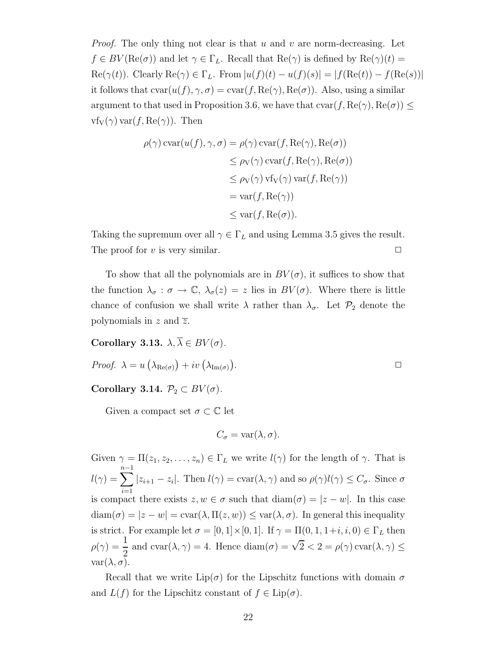*Proof.* The only thing not clear is that u and v are norm-decreasing. Let  $f \in BV(\text{Re}(\sigma))$  and let  $\gamma \in \Gamma_L$ . Recall that  $\text{Re}(\gamma)$  is defined by  $\text{Re}(\gamma)(t) =$  $\text{Re}(\gamma(t))$ . Clearly  $\text{Re}(\gamma) \in \Gamma_L$ . From  $|u(f)(t) - u(f)(s)| = |f(\text{Re}(t)) - f(\text{Re}(s))|$ it follows that  $\text{cvar}(u(f), \gamma, \sigma) = \text{cvar}(f, \text{Re}(\gamma), \text{Re}(\sigma))$ . Also, using a similar argument to that used in Proposition 3.6, we have that  $c\text{var}(f, \text{Re}(\gamma), \text{Re}(\sigma)) \leq$  $\nu f_V(\gamma) \nvert f, \text{Re}(\gamma)$ . Then

$$
\rho(\gamma) \operatorname{cvar}(u(f), \gamma, \sigma) = \rho(\gamma) \operatorname{cvar}(f, \operatorname{Re}(\gamma), \operatorname{Re}(\sigma))
$$
  
\n
$$
\leq \rho_V(\gamma) \operatorname{cvar}(f, \operatorname{Re}(\gamma), \operatorname{Re}(\sigma))
$$
  
\n
$$
\leq \rho_V(\gamma) \operatorname{vfv}(\gamma) \operatorname{var}(f, \operatorname{Re}(\gamma))
$$
  
\n
$$
= \operatorname{var}(f, \operatorname{Re}(\gamma))
$$
  
\n
$$
\leq \operatorname{var}(f, \operatorname{Re}(\sigma)).
$$

Taking the supremum over all  $\gamma \in \Gamma_L$  and using Lemma 3.5 gives the result. The proof for v is very similar.  $\Box$ 

To show that all the polynomials are in  $BV(\sigma)$ , it suffices to show that the function  $\lambda_{\sigma} : \sigma \to \mathbb{C}, \lambda_{\sigma}(z) = z$  lies in  $BV(\sigma)$ . Where there is little chance of confusion we shall write  $\lambda$  rather than  $\lambda_{\sigma}$ . Let  $\mathcal{P}_2$  denote the polynomials in z and  $\overline{z}$ .

Corollary 3.13.  $\lambda, \overline{\lambda} \in BV(\sigma)$ .

*Proof.* 
$$
\lambda = u\left(\lambda_{\text{Re}(\sigma)}\right) + iv\left(\lambda_{\text{Im}(\sigma)}\right).
$$

Corollary 3.14.  $\mathcal{P}_2 \subset BV(\sigma)$ .

Given a compact set  $\sigma \subset \mathbb{C}$  let

$$
C_{\sigma} = \text{var}(\lambda, \sigma).
$$

Given  $\gamma = \Pi(z_1, z_2, \dots, z_n) \in \Gamma_L$  we write  $l(\gamma)$  for the length of  $\gamma$ . That is  $l(\gamma) = \sum_{n=1}^{n-1}$  $i=1$  $|z_{i+1} - z_i|$ . Then  $l(\gamma) = \text{cvar}(\lambda, \gamma)$  and so  $\rho(\gamma)l(\gamma) \leq C_{\sigma}$ . Since  $\sigma$ is compact there exists  $z, w \in \sigma$  such that  $\text{diam}(\sigma) = |z - w|$ . In this case  $diam(\sigma) = |z - w| = cov(\lambda, \Pi(z, w)) \leq var(\lambda, \sigma)$ . In general this inequality is strict. For example let  $\sigma = [0, 1] \times [0, 1]$ . If  $\gamma = \Pi(0, 1, 1+i, i, 0) \in \Gamma_L$  then  $\rho(\gamma) =$ 1 2 and cvar( $\lambda, \gamma$ ) = 4. Hence diam( $\sigma$ ) =  $\sqrt{2}$  < 2 =  $\rho(\gamma)$  cvar( $\lambda, \gamma$ )  $\leq$ var $(\lambda, \sigma)$ .

Recall that we write  $\text{Lip}(\sigma)$  for the Lipschitz functions with domain  $\sigma$ and  $L(f)$  for the Lipschitz constant of  $f \in Lip(\sigma)$ .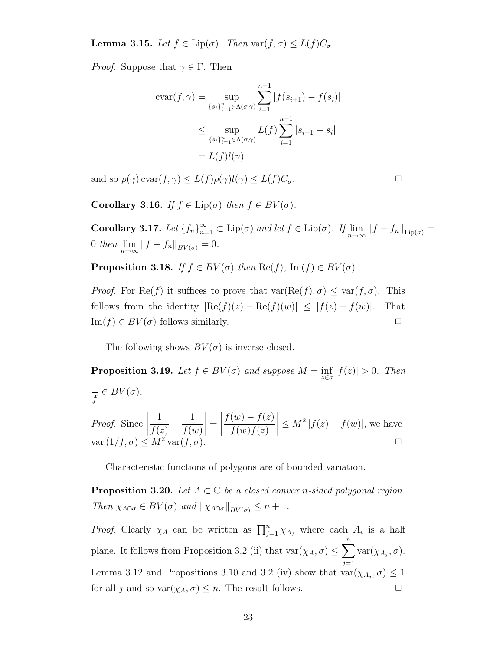**Lemma 3.15.** Let  $f \in \text{Lip}(\sigma)$ . Then  $\text{var}(f, \sigma) \leq L(f)C_{\sigma}$ .

*Proof.* Suppose that  $\gamma \in \Gamma$ . Then

$$
\operatorname{cvar}(f, \gamma) = \sup_{\{s_i\}_{i=1}^n \in \Lambda(\sigma, \gamma)} \sum_{i=1}^{n-1} |f(s_{i+1}) - f(s_i)|
$$
  

$$
\leq \sup_{\{s_i\}_{i=1}^n \in \Lambda(\sigma, \gamma)} L(f) \sum_{i=1}^{n-1} |s_{i+1} - s_i|
$$
  

$$
= L(f)l(\gamma)
$$

and so  $\rho(\gamma) \text{ cvar}(f, \gamma) \leq L(f) \rho(\gamma) l(\gamma) \leq L(f) C_{\sigma}$ .

Corollary 3.16. If  $f \in \text{Lip}(\sigma)$  then  $f \in BV(\sigma)$ .

Corollary 3.17. Let  $\{f_n\}_{n=1}^{\infty} \subset \text{Lip}(\sigma)$  and let  $f \in \text{Lip}(\sigma)$ . If  $\lim_{n \to \infty} ||f - f_n||_{\text{Lip}(\sigma)} =$ 0 then  $\lim_{n\to\infty}$   $||f - f_n||_{BV(\sigma)} = 0.$ 

**Proposition 3.18.** If  $f \in BV(\sigma)$  then  $\text{Re}(f)$ ,  $\text{Im}(f) \in BV(\sigma)$ .

*Proof.* For Re(f) it suffices to prove that  $\text{var}(Re(f), \sigma) \leq \text{var}(f, \sigma)$ . This follows from the identity  $|\text{Re}(f)(z) - \text{Re}(f)(w)| \leq |f(z) - f(w)|$ . That  $\text{Im}(f) \in BV(\sigma)$  follows similarly.

The following shows  $BV(\sigma)$  is inverse closed.

**Proposition 3.19.** Let  $f \in BV(\sigma)$  and suppose  $M = \inf_{z \in \sigma} |f(z)| > 0$ . Then 1  $\frac{1}{f} \in BV(\sigma).$ Proof. Since  $\begin{array}{c} \hline \end{array}$ 1  $\frac{f(z)}{f(z)}$ 1  $f(w)$  $\Big| =$   $f(w) - f(z)$  $f(w)f(z)$  $\begin{array}{c} \begin{array}{c} \begin{array}{c} \begin{array}{c} \end{array}\\ \end{array} \end{array} \end{array}$  $\leq M^2 |f(z) - f(w)|$ , we have  $var(1/f, \sigma) \leq M^2 var(f, \sigma).$ 

Characteristic functions of polygons are of bounded variation.

**Proposition 3.20.** Let  $A \subset \mathbb{C}$  be a closed convex n-sided polygonal region. Then  $\chi_{A\cap\sigma} \in BV(\sigma)$  and  $\|\chi_{A\cap\sigma}\|_{BV(\sigma)} \leq n+1$ .

*Proof.* Clearly  $\chi_A$  can be written as  $\prod_{j=1}^n \chi_{A_j}$  where each  $A_i$  is a half plane. It follows from Proposition 3.2 (ii) that  $\text{var}(\chi_A, \sigma) \leq \sum^n$  $j=1$  $var(\chi_{A_j}, \sigma)$ . Lemma 3.12 and Propositions 3.10 and 3.2 (iv) show that  $\text{var}(\chi_{A_j}, \sigma) \leq 1$ for all j and so  $\text{var}(\chi_A, \sigma) \leq n$ . The result follows.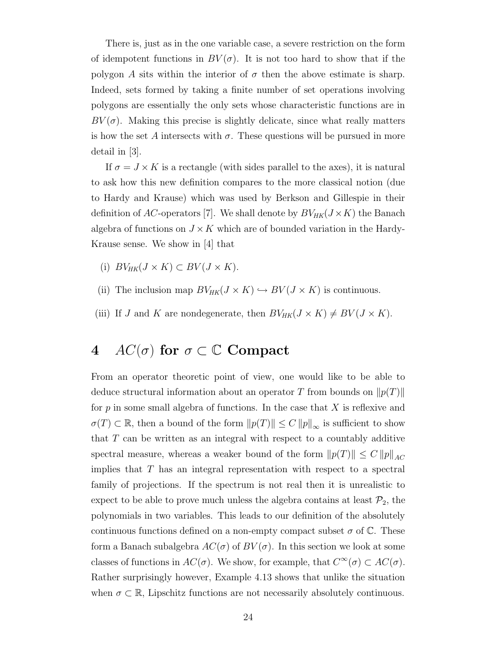There is, just as in the one variable case, a severe restriction on the form of idempotent functions in  $BV(\sigma)$ . It is not too hard to show that if the polygon A sits within the interior of  $\sigma$  then the above estimate is sharp. Indeed, sets formed by taking a finite number of set operations involving polygons are essentially the only sets whose characteristic functions are in  $BV(\sigma)$ . Making this precise is slightly delicate, since what really matters is how the set A intersects with  $\sigma$ . These questions will be pursued in more detail in [3].

If  $\sigma = J \times K$  is a rectangle (with sides parallel to the axes), it is natural to ask how this new definition compares to the more classical notion (due to Hardy and Krause) which was used by Berkson and Gillespie in their definition of AC-operators [7]. We shall denote by  $BV_{HK}(J \times K)$  the Banach algebra of functions on  $J \times K$  which are of bounded variation in the Hardy-Krause sense. We show in [4] that

- (i)  $BV_{HK}(J \times K) \subset BV(J \times K).$
- (ii) The inclusion map  $BV_{HK}(J \times K) \hookrightarrow BV(J \times K)$  is continuous.
- (iii) If J and K are nondegenerate, then  $BV_{HK}(J \times K) \neq BV(J \times K)$ .

# 4 AC( $\sigma$ ) for  $\sigma \subset \mathbb{C}$  Compact

From an operator theoretic point of view, one would like to be able to deduce structural information about an operator T from bounds on  $\|p(T)\|$ for  $p$  in some small algebra of functions. In the case that  $X$  is reflexive and  $\sigma(T) \subset \mathbb{R}$ , then a bound of the form  $||p(T)|| \leq C ||p||_{\infty}$  is sufficient to show that  $T$  can be written as an integral with respect to a countably additive spectral measure, whereas a weaker bound of the form  $||p(T)|| \leq C ||p||_{AC}$ implies that  $T$  has an integral representation with respect to a spectral family of projections. If the spectrum is not real then it is unrealistic to expect to be able to prove much unless the algebra contains at least  $\mathcal{P}_2$ , the polynomials in two variables. This leads to our definition of the absolutely continuous functions defined on a non-empty compact subset  $\sigma$  of  $\mathbb{C}$ . These form a Banach subalgebra  $AC(\sigma)$  of  $BV(\sigma)$ . In this section we look at some classes of functions in  $AC(\sigma)$ . We show, for example, that  $C^{\infty}(\sigma) \subset AC(\sigma)$ . Rather surprisingly however, Example 4.13 shows that unlike the situation when  $\sigma \subset \mathbb{R}$ , Lipschitz functions are not necessarily absolutely continuous.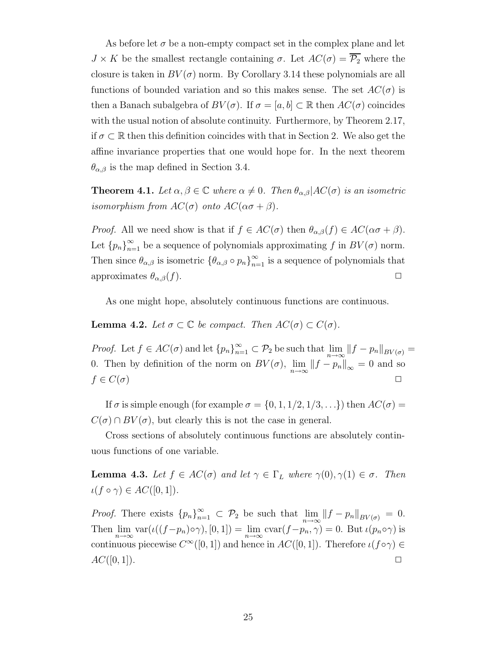As before let  $\sigma$  be a non-empty compact set in the complex plane and let  $J \times K$  be the smallest rectangle containing  $\sigma$ . Let  $AC(\sigma) = \overline{\mathcal{P}_2}$  where the closure is taken in  $BV(\sigma)$  norm. By Corollary 3.14 these polynomials are all functions of bounded variation and so this makes sense. The set  $AC(\sigma)$  is then a Banach subalgebra of  $BV(\sigma)$ . If  $\sigma = [a, b] \subset \mathbb{R}$  then  $AC(\sigma)$  coincides with the usual notion of absolute continuity. Furthermore, by Theorem 2.17, if  $\sigma \subset \mathbb{R}$  then this definition coincides with that in Section 2. We also get the affine invariance properties that one would hope for. In the next theorem  $\theta_{\alpha,\beta}$  is the map defined in Section 3.4.

**Theorem 4.1.** Let  $\alpha, \beta \in \mathbb{C}$  where  $\alpha \neq 0$ . Then  $\theta_{\alpha,\beta}|AC(\sigma)$  is an isometric isomorphism from  $AC(\sigma)$  onto  $AC(\alpha\sigma+\beta)$ .

*Proof.* All we need show is that if  $f \in AC(\sigma)$  then  $\theta_{\alpha,\beta}(f) \in AC(\alpha\sigma+\beta)$ . Let  ${p_n}_{n=1}^{\infty}$  be a sequence of polynomials approximating f in  $BV(\sigma)$  norm. Then since  $\theta_{\alpha,\beta}$  is isometric  $\{\theta_{\alpha,\beta} \circ p_n\}_{n=1}^{\infty}$  is a sequence of polynomials that approximates  $\theta_{\alpha,\beta}(f)$ .

As one might hope, absolutely continuous functions are continuous.

#### **Lemma 4.2.** Let  $\sigma \subset \mathbb{C}$  be compact. Then  $AC(\sigma) \subset C(\sigma)$ .

*Proof.* Let  $f \in AC(\sigma)$  and let  ${p_n}_{n=1}^{\infty} \subset \mathcal{P}_2$  be such that  $\lim_{n \to \infty} ||f - p_n||_{BV(\sigma)} =$ 0. Then by definition of the norm on  $BV(\sigma)$ ,  $\lim_{n\to\infty} ||f - p_n||_{\infty} = 0$  and so  $f \in C(\sigma)$ 

If  $\sigma$  is simple enough (for example  $\sigma = \{0, 1, 1/2, 1/3, \ldots\}$ ) then  $AC(\sigma)$  $C(\sigma) \cap BV(\sigma)$ , but clearly this is not the case in general.

Cross sections of absolutely continuous functions are absolutely continuous functions of one variable.

**Lemma 4.3.** Let  $f \in AC(\sigma)$  and let  $\gamma \in \Gamma_L$  where  $\gamma(0), \gamma(1) \in \sigma$ . Then  $\iota(f \circ \gamma) \in AC([0,1]).$ 

*Proof.* There exists  ${p_n}_{n=1}^{\infty} \subset \mathcal{P}_2$  be such that  $\lim_{n\to\infty} ||f - p_n||_{BV(\sigma)} = 0$ . Then  $\lim_{n\to\infty} \text{var}(\iota((f-p_n)\circ\gamma), [0,1]) = \lim_{n\to\infty} \text{cvar}(f-p_n, \gamma) = 0.$  But  $\iota(p_n \circ \gamma)$  is continuous piecewise  $C^{\infty}([0,1])$  and hence in  $AC([0,1])$ . Therefore  $\iota(f \circ \gamma) \in$  $AC([0,1]).$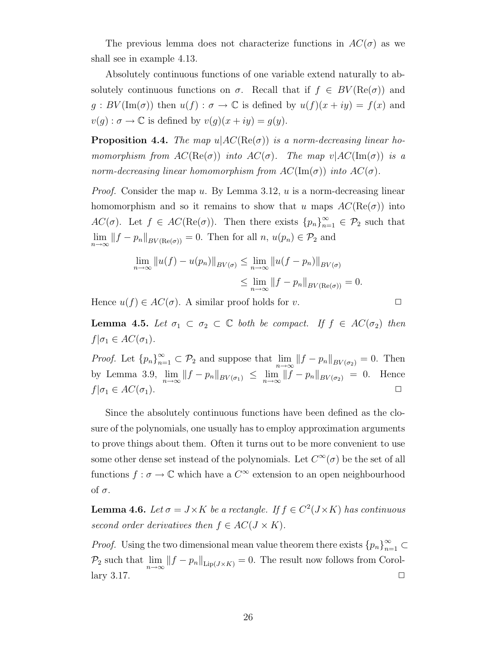The previous lemma does not characterize functions in  $AC(\sigma)$  as we shall see in example 4.13.

Absolutely continuous functions of one variable extend naturally to absolutely continuous functions on  $\sigma$ . Recall that if  $f \in BV(\text{Re}(\sigma))$  and  $g : BV(\text{Im}(\sigma))$  then  $u(f) : \sigma \to \mathbb{C}$  is defined by  $u(f)(x+iy) = f(x)$  and  $v(g) : \sigma \to \mathbb{C}$  is defined by  $v(g)(x+iy) = g(y)$ .

**Proposition 4.4.** The map  $u|AC(Re(\sigma))$  is a norm-decreasing linear homomorphism from  $AC(Re(\sigma))$  into  $AC(\sigma)$ . The map  $v|AC(Im(\sigma))$  is a norm-decreasing linear homomorphism from  $AC(\text{Im}(\sigma))$  into  $AC(\sigma)$ .

*Proof.* Consider the map u. By Lemma 3.12, u is a norm-decreasing linear homomorphism and so it remains to show that u maps  $AC(Re(\sigma))$  into  $AC(\sigma)$ . Let  $f \in AC(Re(\sigma))$ . Then there exists  ${p_n}_{n=1}^{\infty} \in \mathcal{P}_2$  such that  $\lim_{n\to\infty} ||f - p_n||_{BV(\text{Re}(\sigma))} = 0.$  Then for all  $n, u(p_n) \in \mathcal{P}_2$  and

$$
\lim_{n \to \infty} ||u(f) - u(p_n)||_{BV(\sigma)} \le \lim_{n \to \infty} ||u(f - p_n)||_{BV(\sigma)}
$$
  

$$
\le \lim_{n \to \infty} ||f - p_n||_{BV(\text{Re}(\sigma))} = 0.
$$

Hence  $u(f) \in AC(\sigma)$ . A similar proof holds for v.

**Lemma 4.5.** Let  $\sigma_1 \subset \sigma_2 \subset \mathbb{C}$  both be compact. If  $f \in AC(\sigma_2)$  then  $f|\sigma_1 \in AC(\sigma_1).$ 

*Proof.* Let  ${p_n}_{n=1}^{\infty} \subset \mathcal{P}_2$  and suppose that  $\lim_{n\to\infty} ||f - p_n||_{BV(\sigma_2)} = 0$ . Then by Lemma 3.9,  $\lim_{n \to \infty} ||f - p_n||_{BV(\sigma_1)} \leq \lim_{n \to \infty} ||f - p_n||_{BV(\sigma_2)} = 0.$  Hence  $f|\sigma_1 \in AC(\sigma_1).$ 

Since the absolutely continuous functions have been defined as the closure of the polynomials, one usually has to employ approximation arguments to prove things about them. Often it turns out to be more convenient to use some other dense set instead of the polynomials. Let  $C^{\infty}(\sigma)$  be the set of all functions  $f: \sigma \to \mathbb{C}$  which have a  $C^{\infty}$  extension to an open neighbourhood of σ.

**Lemma 4.6.** Let  $\sigma = J \times K$  be a rectangle. If  $f \in C^2(J \times K)$  has continuous second order derivatives then  $f \in AC(J \times K)$ .

*Proof.* Using the two dimensional mean value theorem there exists  ${p_n}_{n=1}^{\infty} \subset$  $\mathcal{P}_2$  such that  $\lim_{n\to\infty}||f - p_n||_{\text{Lip}(J\times K)} = 0$ . The result now follows from Corol- $\Box$   $\Box$   $\Box$   $\Box$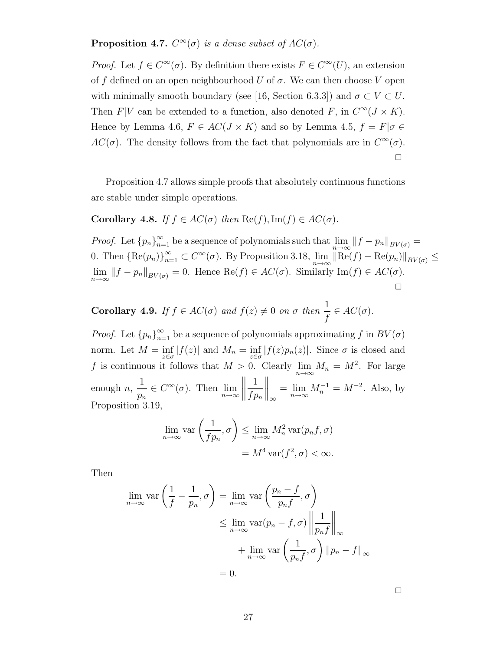**Proposition 4.7.**  $C^{\infty}(\sigma)$  is a dense subset of  $AC(\sigma)$ .

*Proof.* Let  $f \in C^{\infty}(\sigma)$ . By definition there exists  $F \in C^{\infty}(U)$ , an extension of f defined on an open neighbourhood U of  $\sigma$ . We can then choose V open with minimally smooth boundary (see [16, Section 6.3.3]) and  $\sigma \subset V \subset U$ . Then  $F|V$  can be extended to a function, also denoted F, in  $C^{\infty}(J \times K)$ . Hence by Lemma 4.6,  $F \in AC(J \times K)$  and so by Lemma 4.5,  $f = F|\sigma \in$  $AC(\sigma)$ . The density follows from the fact that polynomials are in  $C^{\infty}(\sigma)$ .  $\Box$ 

Proposition 4.7 allows simple proofs that absolutely continuous functions are stable under simple operations.

Corollary 4.8. If  $f \in AC(\sigma)$  then  $\text{Re}(f)$ ,  $\text{Im}(f) \in AC(\sigma)$ .

*Proof.* Let  ${p_n}_{n=1}^{\infty}$  be a sequence of polynomials such that  $\lim_{n\to\infty}||f - p_n||_{BV(\sigma)} =$ 0. Then  $\{\text{Re}(p_n)\}_{n=1}^{\infty} \subset C^{\infty}(\sigma)$ . By Proposition 3.18,  $\lim_{n\to\infty} \|\text{Re}(f) - \text{Re}(p_n)\|_{BV(\sigma)} \leq$  $\lim_{n\to\infty} ||f - p_n||_{BV(\sigma)} = 0.$  Hence  $\text{Re}(f) \in AC(\sigma)$ . Similarly  $\text{Im}(f) \in AC(\sigma)$ . ✷

**Corollary 4.9.** If  $f \in AC(\sigma)$  and  $f(z) \neq 0$  on  $\sigma$  then  $\frac{1}{f} \in AC(\sigma)$ .

*Proof.* Let  ${p_n}_{n=1}^{\infty}$  be a sequence of polynomials approximating f in  $BV(\sigma)$ norm. Let  $M = \inf_{z \in \sigma} |f(z)|$  and  $M_n = \inf_{z \in \sigma} |f(z)p_n(z)|$ . Since  $\sigma$  is closed and f is continuous it follows that  $M > 0$ . Clearly  $\lim_{n \to \infty} M_n = M^2$ . For large enough  $n$ , 1  $\frac{1}{p_n} \in C^{\infty}(\sigma)$ . Then  $\lim_{n \to \infty}$ 1  $fp_n$  $\Big\|_{\infty} = \lim_{n \to \infty} M_n^{-1} = M^{-2}$ . Also, by Proposition 3.19,

$$
\lim_{n \to \infty} \text{var}\left(\frac{1}{fp_n}, \sigma\right) \le \lim_{n \to \infty} M_n^2 \text{var}(p_n f, \sigma)
$$

$$
= M^4 \text{var}(f^2, \sigma) < \infty.
$$

Then

$$
\lim_{n \to \infty} \text{var}\left(\frac{1}{f} - \frac{1}{p_n}, \sigma\right) = \lim_{n \to \infty} \text{var}\left(\frac{p_n - f}{p_n f}, \sigma\right)
$$

$$
\leq \lim_{n \to \infty} \text{var}(p_n - f, \sigma) \left\|\frac{1}{p_n f}\right\|_{\infty}
$$

$$
+ \lim_{n \to \infty} \text{var}\left(\frac{1}{p_n f}, \sigma\right) \|p_n - f\|_{\infty}
$$

$$
= 0.
$$

 $\Box$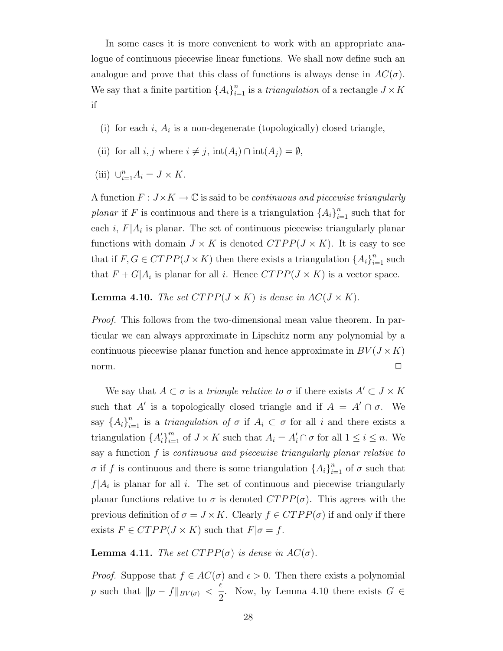In some cases it is more convenient to work with an appropriate analogue of continuous piecewise linear functions. We shall now define such an analogue and prove that this class of functions is always dense in  $AC(\sigma)$ . We say that a finite partition  $\{A_i\}_{i=1}^n$  is a *triangulation* of a rectangle  $J \times K$ if

- (i) for each  $i$ ,  $A_i$  is a non-degenerate (topologically) closed triangle,
- (ii) for all  $i, j$  where  $i \neq j$ ,  $\text{int}(A_i) \cap \text{int}(A_j) = \emptyset$ ,
- (iii)  $\bigcup_{i=1}^{n} A_i = J \times K$ .

A function  $F: J \times K \to \mathbb{C}$  is said to be *continuous and piecewise triangularly* planar if F is continuous and there is a triangulation  $\{A_i\}_{i=1}^n$  such that for each  $i, F|A_i$  is planar. The set of continuous piecewise triangularly planar functions with domain  $J \times K$  is denoted  $CTPP(J \times K)$ . It is easy to see that if  $F, G \in CTPP(J \times K)$  then there exists a triangulation  $\{A_i\}_{i=1}^n$  such that  $F + G|A_i$  is planar for all *i*. Hence  $CTPP(J \times K)$  is a vector space.

**Lemma 4.10.** The set  $CTPP(J \times K)$  is dense in  $AC(J \times K)$ .

Proof. This follows from the two-dimensional mean value theorem. In particular we can always approximate in Lipschitz norm any polynomial by a continuous piecewise planar function and hence approximate in  $BV(J \times K)$ norm.  $\Box$ 

We say that  $A \subset \sigma$  is a *triangle relative to*  $\sigma$  if there exists  $A' \subset J \times K$ such that A' is a topologically closed triangle and if  $A = A' \cap \sigma$ . We say  $\{A_i\}_{i=1}^n$  is a *triangulation of*  $\sigma$  if  $A_i \subset \sigma$  for all i and there exists a triangulation  $\{A'_i\}_{i=1}^m$  of  $J \times K$  such that  $A_i = A'_i \cap \sigma$  for all  $1 \leq i \leq n$ . We say a function f is continuous and piecewise triangularly planar relative to  $\sigma$  if f is continuous and there is some triangulation  $\{A_i\}_{i=1}^n$  of  $\sigma$  such that  $f|A_i$  is planar for all i. The set of continuous and piecewise triangularly planar functions relative to  $\sigma$  is denoted  $CTPP(\sigma)$ . This agrees with the previous definition of  $\sigma = J \times K$ . Clearly  $f \in CTPP(\sigma)$  if and only if there exists  $F \in CTPP(J \times K)$  such that  $F|\sigma = f$ .

**Lemma 4.11.** The set  $CTPP(\sigma)$  is dense in  $AC(\sigma)$ .

*Proof.* Suppose that  $f \in AC(\sigma)$  and  $\epsilon > 0$ . Then there exists a polynomial p such that  $||p - f||_{BV(\sigma)} <$  $\epsilon$  $\frac{1}{2}$ . Now, by Lemma 4.10 there exists  $G \in$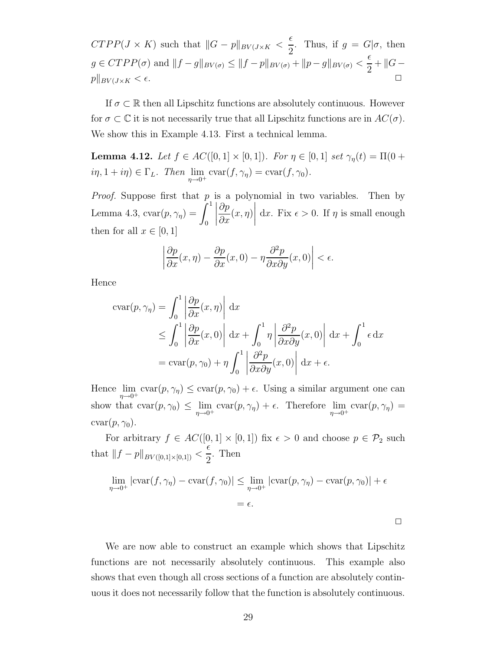$CTPP(J \times K)$  such that  $||G - p||_{BV(J \times K)}$  $\epsilon$  $\frac{1}{2}$ . Thus, if  $g = G | \sigma$ , then  $g \in CTPP(\sigma)$  and  $||f - g||_{BV(\sigma)} \leq ||f - p||_{BV(\sigma)} + ||p - g||_{BV(\sigma)} <$  $\epsilon$  $\frac{c}{2} + ||G$  $p\|_{BV(J\times K} < \epsilon.$ 

If  $\sigma \subset \mathbb{R}$  then all Lipschitz functions are absolutely continuous. However for  $\sigma \subset \mathbb{C}$  it is not necessarily true that all Lipschitz functions are in  $AC(\sigma)$ . We show this in Example 4.13. First a technical lemma.

**Lemma 4.12.** Let  $f \in AC([0,1] \times [0,1])$ . For  $\eta \in [0,1]$  set  $\gamma_{\eta}(t) = \Pi(0 +$  $i\eta, 1 + i\eta \in \Gamma_L$ . Then  $\lim_{\eta \to 0^+} \text{cvar}(f, \gamma_\eta) = \text{cvar}(f, \gamma_0)$ .

*Proof.* Suppose first that  $p$  is a polynomial in two variables. Then by Lemma 4.3,  $\text{cvar}(p, \gamma_{\eta}) =$  $\int_0^1$ 0 ∂p  $\partial x$  $(x,\eta)$  dx. Fix  $\epsilon > 0$ . If  $\eta$  is small enough then for all  $x \in [0, 1]$ 

$$
\left| \frac{\partial p}{\partial x}(x,\eta) - \frac{\partial p}{\partial x}(x,0) - \eta \frac{\partial^2 p}{\partial x \partial y}(x,0) \right| < \epsilon.
$$

Hence

$$
\operatorname{cvar}(p, \gamma_{\eta}) = \int_{0}^{1} \left| \frac{\partial p}{\partial x}(x, \eta) \right| dx
$$
  
\n
$$
\leq \int_{0}^{1} \left| \frac{\partial p}{\partial x}(x, 0) \right| dx + \int_{0}^{1} \eta \left| \frac{\partial^{2} p}{\partial x \partial y}(x, 0) \right| dx + \int_{0}^{1} \epsilon dx
$$
  
\n
$$
= \operatorname{cvar}(p, \gamma_{0}) + \eta \int_{0}^{1} \left| \frac{\partial^{2} p}{\partial x \partial y}(x, 0) \right| dx + \epsilon.
$$

Hence  $\lim_{\eta \to 0^+} \text{cvar}(p, \gamma_\eta) \leq \text{cvar}(p, \gamma_0) + \epsilon$ . Using a similar argument one can show that  $\operatorname{cvar}(p, \gamma_0) \leq \lim_{\eta \to 0^+} \operatorname{cvar}(p, \gamma_\eta) + \epsilon$ . Therefore  $\lim_{\eta \to 0^+} \operatorname{cvar}(p, \gamma_\eta) =$  $cvar(p, \gamma_0)$ .

For arbitrary  $f \in AC([0,1] \times [0,1])$  fix  $\epsilon > 0$  and choose  $p \in \mathcal{P}_2$  such that  $||f - p||_{BV([0,1]\times[0,1])} <$  $\epsilon$ 2 . Then

$$
\lim_{\eta \to 0^+} |\text{cvar}(f, \gamma_{\eta}) - \text{cvar}(f, \gamma_0)| \le \lim_{\eta \to 0^+} |\text{cvar}(p, \gamma_{\eta}) - \text{cvar}(p, \gamma_0)| + \epsilon
$$

$$
= \epsilon.
$$

We are now able to construct an example which shows that Lipschitz functions are not necessarily absolutely continuous. This example also shows that even though all cross sections of a function are absolutely continuous it does not necessarily follow that the function is absolutely continuous.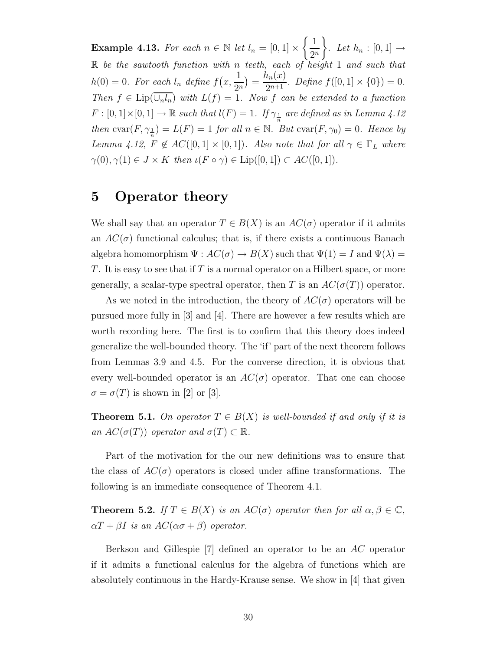**Example 4.13.** For each  $n \in \mathbb{N}$  let  $l_n = [0,1] \times \left\{ \frac{1}{2^n} \right\}$  $2^n$  $\mathcal{L}$ . Let  $h_n : [0,1] \rightarrow$  $\mathbb R$  be the sawtooth function with n teeth, each of height 1 and such that  $h(0) = 0$ . For each  $l_n$  define  $f(x,$ 1  $\frac{1}{2^n}$ ) =  $\frac{h_n(x)}{2^{n+1}}$  $\frac{2n(x)}{2^{n+1}}$ . Define  $f([0,1] \times \{0\}) = 0$ . Then  $f \in \text{Lip}(\overline{\cup_n I_n})$  with  $L(f) = 1$ . Now f can be extended to a function  $F: [0,1] \times [0,1] \to \mathbb{R}$  such that  $l(F) = 1$ . If  $\gamma_{\frac{1}{n}}$  are defined as in Lemma 4.12 then  $\text{cvar}(F, \gamma_{\frac{1}{n}}) = L(F) = 1$  for all  $n \in \mathbb{N}$ . But  $\text{cvar}(F, \gamma_0) = 0$ . Hence by Lemma 4.12,  $F \notin AC([0,1] \times [0,1])$ . Also note that for all  $\gamma \in \Gamma_L$  where  $\gamma(0), \gamma(1) \in J \times K$  then  $\iota(F \circ \gamma) \in \text{Lip}([0, 1]) \subset AC([0, 1]).$ 

### 5 Operator theory

We shall say that an operator  $T \in B(X)$  is an  $AC(\sigma)$  operator if it admits an  $AC(\sigma)$  functional calculus; that is, if there exists a continuous Banach algebra homomorphism  $\Psi: AC(\sigma) \to B(X)$  such that  $\Psi(1) = I$  and  $\Psi(\lambda) =$ T. It is easy to see that if T is a normal operator on a Hilbert space, or more generally, a scalar-type spectral operator, then T is an  $AC(\sigma(T))$  operator.

As we noted in the introduction, the theory of  $AC(\sigma)$  operators will be pursued more fully in [3] and [4]. There are however a few results which are worth recording here. The first is to confirm that this theory does indeed generalize the well-bounded theory. The 'if' part of the next theorem follows from Lemmas 3.9 and 4.5. For the converse direction, it is obvious that every well-bounded operator is an  $AC(\sigma)$  operator. That one can choose  $\sigma = \sigma(T)$  is shown in [2] or [3].

**Theorem 5.1.** On operator  $T \in B(X)$  is well-bounded if and only if it is an  $AC(\sigma(T))$  operator and  $\sigma(T) \subset \mathbb{R}$ .

Part of the motivation for the our new definitions was to ensure that the class of  $AC(\sigma)$  operators is closed under affine transformations. The following is an immediate consequence of Theorem 4.1.

**Theorem 5.2.** If  $T \in B(X)$  is an  $AC(\sigma)$  operator then for all  $\alpha, \beta \in \mathbb{C}$ ,  $\alpha T + \beta I$  is an  $AC(\alpha \sigma + \beta)$  operator.

Berkson and Gillespie [7] defined an operator to be an AC operator if it admits a functional calculus for the algebra of functions which are absolutely continuous in the Hardy-Krause sense. We show in [4] that given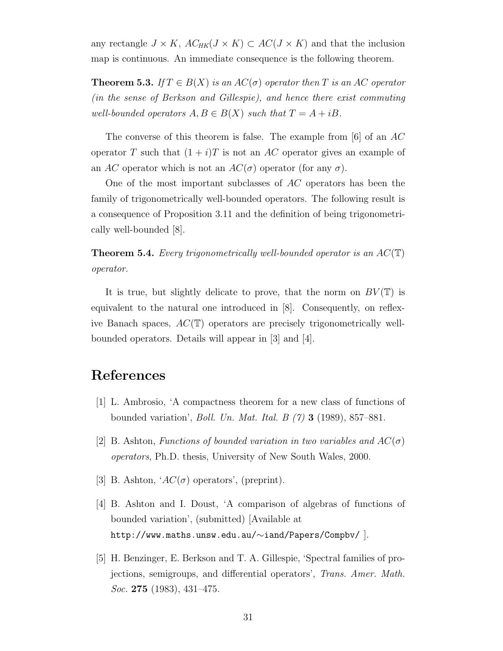any rectangle  $J \times K$ ,  $AC_{HK}(J \times K) \subset AC(J \times K)$  and that the inclusion map is continuous. An immediate consequence is the following theorem.

**Theorem 5.3.** If  $T \in B(X)$  is an  $AC(\sigma)$  operator then T is an AC operator (in the sense of Berkson and Gillespie), and hence there exist commuting well-bounded operators  $A, B \in B(X)$  such that  $T = A + iB$ .

The converse of this theorem is false. The example from [6] of an  $AC$ operator T such that  $(1 + i)T$  is not an AC operator gives an example of an AC operator which is not an  $AC(\sigma)$  operator (for any  $\sigma$ ).

One of the most important subclasses of AC operators has been the family of trigonometrically well-bounded operators. The following result is a consequence of Proposition 3.11 and the definition of being trigonometrically well-bounded [8].

**Theorem 5.4.** Every trigonometrically well-bounded operator is an  $AC(T)$ operator.

It is true, but slightly delicate to prove, that the norm on  $BV(\mathbb{T})$  is equivalent to the natural one introduced in [8]. Consequently, on reflexive Banach spaces,  $AC(\mathbb{T})$  operators are precisely trigonometrically wellbounded operators. Details will appear in [3] and [4].

# References

- [1] L. Ambrosio, 'A compactness theorem for a new class of functions of bounded variation', Boll. Un. Mat. Ital. B (7) 3 (1989), 857–881.
- [2] B. Ashton, Functions of bounded variation in two variables and  $AC(\sigma)$ operators, Ph.D. thesis, University of New South Wales, 2000.
- [3] B. Ashton, ' $AC(\sigma)$  operators', (preprint).
- [4] B. Ashton and I. Doust, 'A comparison of algebras of functions of bounded variation', (submitted) [Available at http://www.maths.unsw.edu.au/∼iand/Papers/Compbv/ ].
- [5] H. Benzinger, E. Berkson and T. A. Gillespie, 'Spectral families of projections, semigroups, and differential operators', Trans. Amer. Math. *Soc.* 275 (1983), 431–475.